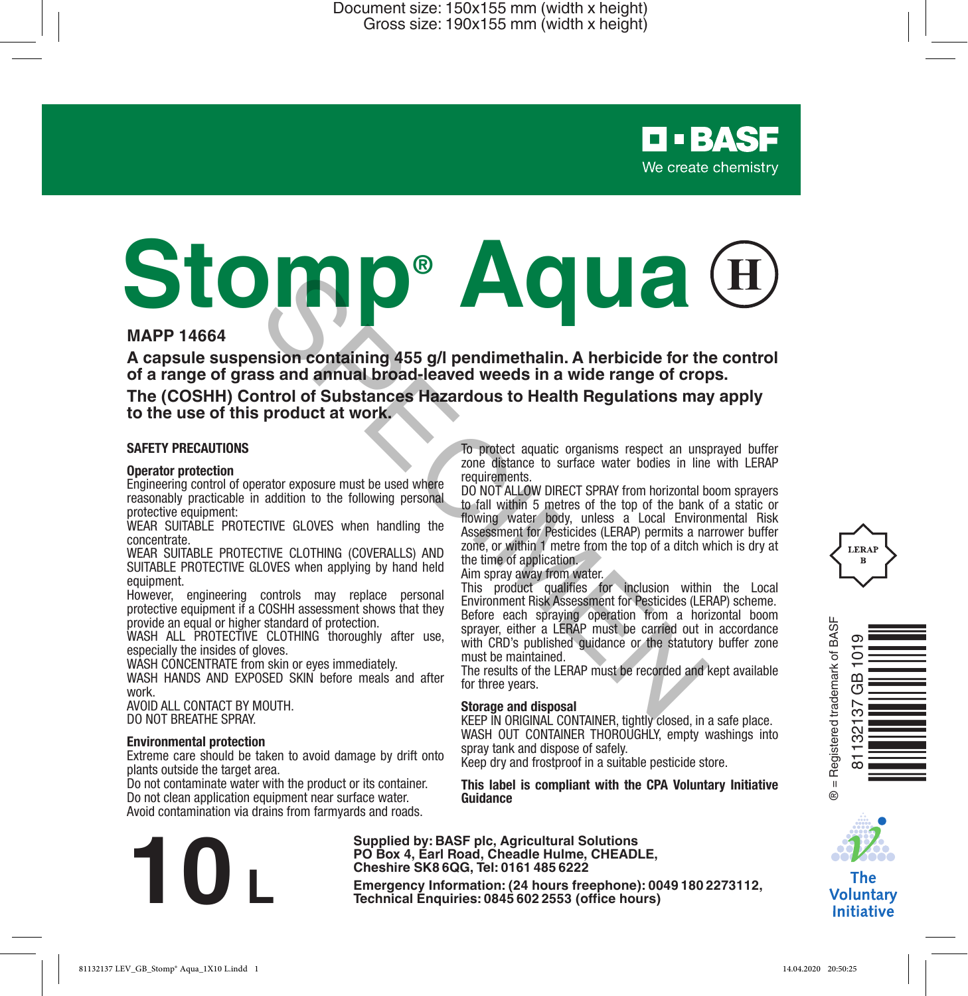# **Stomp® Aqua Example 19 and 19 and 19 and 19 and 19 and 19 and 19 and 19 and 19 and 19 and 19 and 19 and 19 and 19 and 19 and 19 and 19 and 19 and 19 and 19 and 19 and 19 and 19 and 19 and 19 and 19 and 19 and 19 and 19 and 19 and 19**

# **MAPP 14664**

**A capsule suspension containing 455 g/l pendimethalin. A herbicide for the control of a range of grass and annual broad-leaved weeds in a wide range of crops.**

**The (COSHH) Control of Substances Hazardous to Health Regulations may apply to the use of this product at work.**

#### **SAFETY PRECAUTIONS**

#### **Operator protection**

Engineering control of operator exposure must be used where reasonably practicable in addition to the following personal protective equipment:

WEAR SUITABLE PROTECTIVE GLOVES when handling the concentrate.

WEAR SUITABLE PROTECTIVE CLOTHING (COVERALLS) AND SUITABLE PROTECTIVE GLOVES when applying by hand held equipment.

However, engineering controls may replace personal protective equipment if a COSHH assessment shows that they provide an equal or higher standard of protection.

WASH ALL PROTECTIVE CLOTHING thoroughly after use. especially the insides of gloves.

WASH CONCENTRATE from skin or eyes immediately. WASH HANDS AND EXPOSED SKIN before meals and after work.

AVOID ALL CONTACT BY MOUTH. DO NOT BREATHE SPRAY.

#### **Environmental protection**

Extreme care should be taken to avoid damage by drift onto plants outside the target area.

Do not contaminate water with the product or its container. Do not clean application equipment near surface water. Avoid contamination via drains from farmyards and roads.

To protect aquatic organisms respect an unsprayed buffer zone distance to surface water bodies in line with LERAP requirements.

DO NOT ALLOW DIRECT SPRAY from horizontal boom sprayers to fall within 5 metres of the top of the bank of a static or flowing water body, unless a Local Environmental Risk Assessment for Pesticides (LERAP) permits a narrower buffer zone, or within 1 metre from the top of a ditch which is dry at the time of application.

Aim spray away from water.

This product qualifies for inclusion within the Local Environment Risk Assessment for Pesticides (LERAP) scheme. Before each spraying operation from a horizontal boom sprayer, either a LERAP must be carried out in accordance with CRD's published guidance or the statutory buffer zone must be maintained.

The results of the LERAP must be recorded and kept available for three years.

#### **Storage and disposal**

KEEP IN ORIGINAL CONTAINER, tightly closed, in a safe place. WASH OUT CONTAINER THOROUGHLY, empty washings into spray tank and dispose of safely.

Keep dry and frostproof in a suitable pesticide store.

#### **This label is compliant with the CPA Voluntary Initiative Guidance**

**Supplied by: BASF plc, Agricultural Solutions PO Box 4, Earl Road, Cheadle Hulme, CHEADLE, Cheshire SK8 6QG, Tel: 0161 485 6222**

**Example 19:** Box 4, Earl Road, Cheadle Hulme, CHEADLE,<br>
Cheshire SK8 6QG, Tel: 0161 485 6222<br>
Emergency Information: (24 hours freephone): 0049 180 2273112,<br>
Technical Enquiries: 0845 602 2553 (office hours)







The **Voluntary Initiative**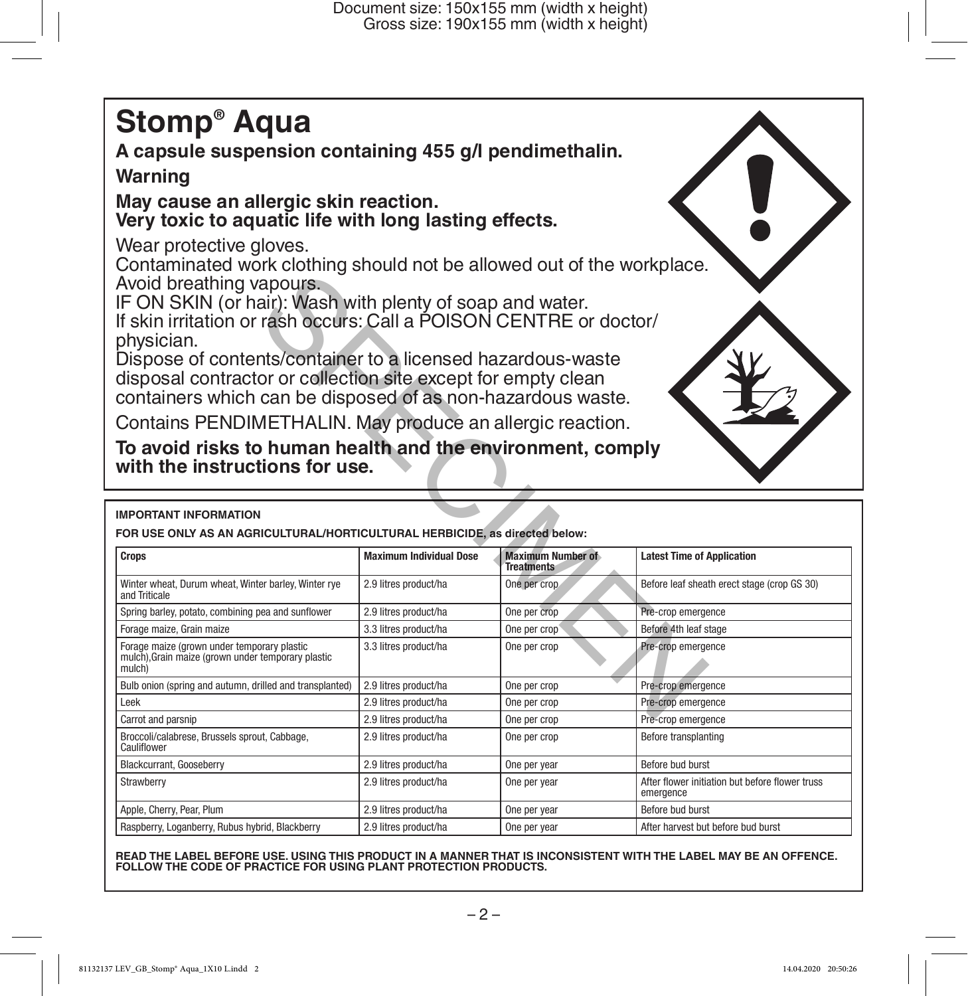# **Stomp® Aqua**

**A capsule suspension containing 455 g/l pendimethalin.**

# **Warning**

# **May cause an allergic skin reaction. Very toxic to aquatic life with long lasting effects.**

Wear protective gloves.

Contaminated work clothing should not be allowed out of the workplace. Avoid breathing vapours.

| Avoid breathing vapours.                                                                                                        |                                |                                               |                                                                             |  |  |
|---------------------------------------------------------------------------------------------------------------------------------|--------------------------------|-----------------------------------------------|-----------------------------------------------------------------------------|--|--|
| IF ON SKIN (or hair): Wash with plenty of soap and water.<br>If skin irritation or rash occurs: Call a POISON CENTRE or doctor/ |                                |                                               |                                                                             |  |  |
| physician.                                                                                                                      |                                |                                               |                                                                             |  |  |
| Dispose of contents/container to a licensed hazardous-waste                                                                     |                                |                                               |                                                                             |  |  |
| disposal contractor or collection site except for empty clean                                                                   |                                |                                               |                                                                             |  |  |
| containers which can be disposed of as non-hazardous waste.                                                                     |                                |                                               |                                                                             |  |  |
|                                                                                                                                 |                                |                                               |                                                                             |  |  |
| Contains PENDIMETHALIN. May produce an allergic reaction.                                                                       |                                |                                               |                                                                             |  |  |
| To avoid risks to human health and the environment, comply                                                                      |                                |                                               |                                                                             |  |  |
| with the instructions for use.                                                                                                  |                                |                                               |                                                                             |  |  |
|                                                                                                                                 |                                |                                               |                                                                             |  |  |
|                                                                                                                                 |                                |                                               |                                                                             |  |  |
| <b>IMPORTANT INFORMATION</b>                                                                                                    |                                |                                               |                                                                             |  |  |
|                                                                                                                                 |                                |                                               | FOR USE ONLY AS AN AGRICULTURAL/HORTICULTURAL HERBICIDE, as directed below: |  |  |
|                                                                                                                                 |                                |                                               |                                                                             |  |  |
| <b>Crops</b>                                                                                                                    | <b>Maximum Individual Dose</b> | <b>Maximum Number of</b><br><b>Treatments</b> | <b>Latest Time of Application</b>                                           |  |  |
| Winter wheat, Durum wheat, Winter barley, Winter rye<br>and Triticale                                                           | 2.9 litres product/ha          | One per crop                                  | Before leaf sheath erect stage (crop GS 30)                                 |  |  |
| Spring barley, potato, combining pea and sunflower                                                                              | 2.9 litres product/ha          | One per crop                                  | Pre-crop emergence                                                          |  |  |
| Forage maize, Grain maize                                                                                                       | 3.3 litres product/ha          | One per crop                                  | Before 4th leaf stage                                                       |  |  |
| Forage maize (grown under temporary plastic                                                                                     | 3.3 litres product/ha          | One per crop                                  | Pre-crop emergence                                                          |  |  |
| mulch), Grain maize (grown under temporary plastic<br>mulch)                                                                    |                                |                                               |                                                                             |  |  |
| Bulb onion (spring and autumn, drilled and transplanted)                                                                        | 2.9 litres product/ha          | One per crop                                  | Pre-crop emergence                                                          |  |  |
| I eek                                                                                                                           | 2.9 litres product/ha          | One per crop                                  | Pre-crop emergence                                                          |  |  |
| Carrot and parsnip                                                                                                              | 2.9 litres product/ha          | One per crop                                  | Pre-crop emergence                                                          |  |  |
| Broccoli/calabrese, Brussels sprout, Cabbage,<br>Cauliflower                                                                    | 2.9 litres product/ha          | One per crop                                  | Before transplanting                                                        |  |  |
| Blackcurrant, Gooseberry                                                                                                        | 2.9 litres product/ha          | One per year                                  | Before bud burst                                                            |  |  |
| Strawberry                                                                                                                      | 2.9 litres product/ha          | One per year                                  | After flower initiation but before flower truss<br>emergence                |  |  |
| Apple, Cherry, Pear, Plum                                                                                                       | 2.9 litres product/ha          | One per year                                  | Before bud burst                                                            |  |  |

**READ THE LABEL BEFORE USE. USING THIS PRODUCT IN A MANNER THAT IS INCONSISTENT WITH THE LABEL MAY BE AN OFFENCE. FOLLOW THE CODE OF PRACTICE FOR USING PLANT PROTECTION PRODUCTS.**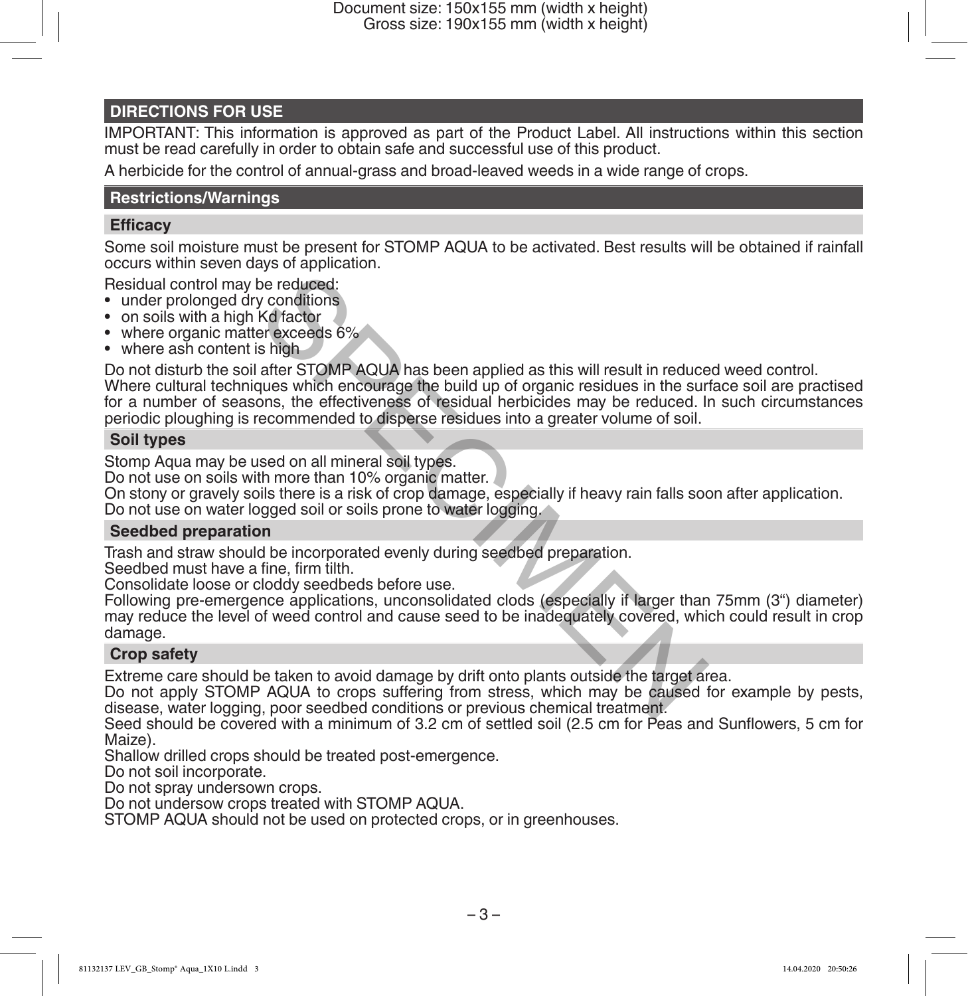Document size: 150x155 mm (width x height) Gross size: 190x155 mm (width x height)

# **DIRECTIONS FOR USE**

IMPORTANT: This information is approved as part of the Product Label. All instructions within this section must be read carefully in order to obtain safe and successful use of this product.

A herbicide for the control of annual-grass and broad-leaved weeds in a wide range of crops.

## **Restrictions/Warnings**

# **Efficacy**

Some soil moisture must be present for STOMP AQUA to be activated. Best results will be obtained if rainfall occurs within seven days of application.

Residual control may be reduced:

- under prolonged dry conditions
- on soils with a high Kd factor
- where organic matter exceeds 6%
- where ash content is high

Do not disturb the soil after STOMP AQUA has been applied as this will result in reduced weed control. Where cultural techniques which encourage the build up of organic residues in the surface soil are practised for a number of seasons, the effectiveness of residual herbicides may be reduced. In such circumstances periodic ploughing is recommended to disperse residues into a greater volume of soil. be reduced:<br>
Ne reduced:<br>
Ne reduced:<br>
Ne reduced:<br>
Ser exceeds 6%<br>
Is high<br>
after STOMP AQUA has been applied as this will result in reduce<br>
are exceeds 6%<br>
Is high<br>
after STOMP AQUA has been applied as this will result i

# **Soil types**

Stomp Aqua may be used on all mineral soil types.

Do not use on soils with more than 10% organic matter.

On stony or gravely soils there is a risk of crop damage, especially if heavy rain falls soon after application.

Do not use on water logged soil or soils prone to water logging.

### **Seedbed preparation**

Trash and straw should be incorporated evenly during seedbed preparation.

Seedbed must have a fine, firm tilth.

Consolidate loose or cloddy seedbeds before use.

Following pre-emergence applications, unconsolidated clods (especially if larger than 75mm (3") diameter) may reduce the level of weed control and cause seed to be inadequately covered, which could result in crop damage.

# **Crop safety**

Extreme care should be taken to avoid damage by drift onto plants outside the target area.

Do not apply STOMP AQUA to crops suffering from stress, which may be caused for example by pests, disease, water logging, poor seedbed conditions or previous chemical treatment.

Seed should be covered with a minimum of 3.2 cm of settled soil (2.5 cm for Peas and Sunflowers, 5 cm for Maize).

Shallow drilled crops should be treated post-emergence.

Do not soil incorporate.

Do not spray undersown crops.

Do not undersow crops treated with STOMP AQUA.

STOMP AQUA should not be used on protected crops, or in greenhouses.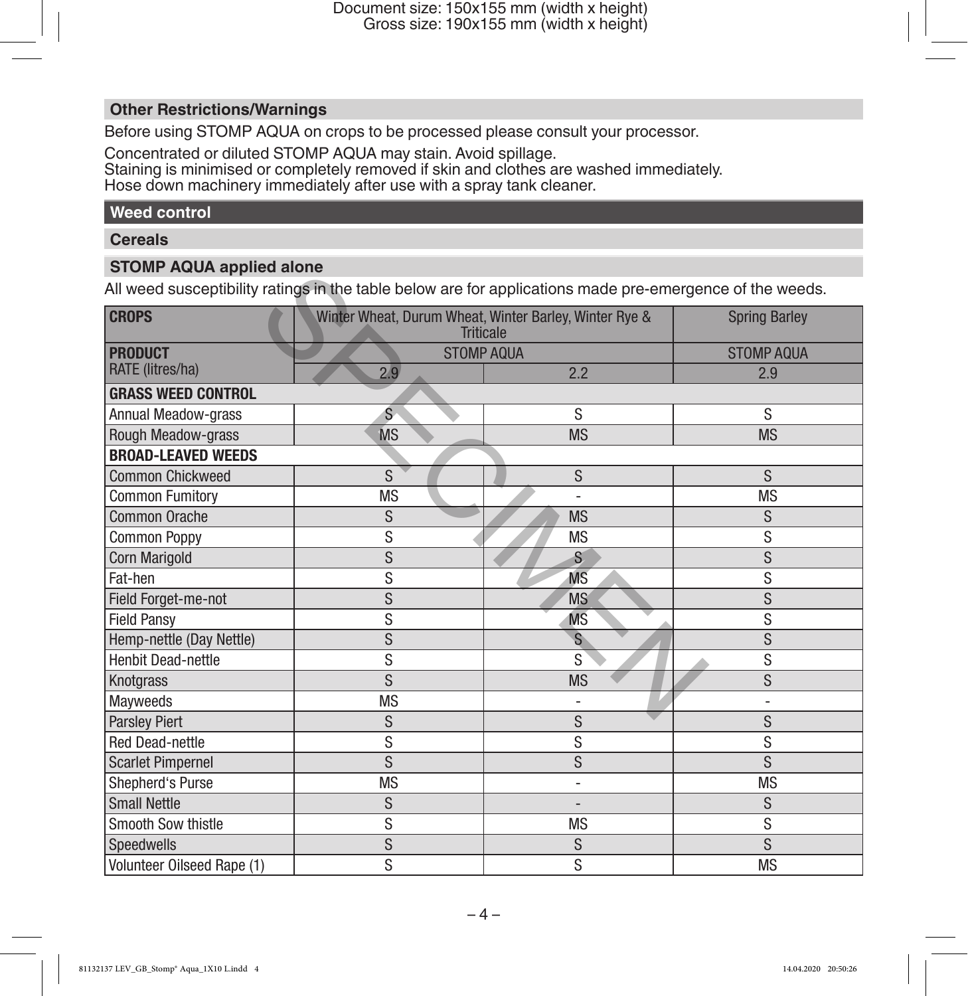# **Other Restrictions/Warnings**

Before using STOMP AQUA on crops to be processed please consult your processor.

Concentrated or diluted STOMP AQUA may stain. Avoid spillage.

Staining is minimised or completely removed if skin and clothes are washed immediately. Hose down machinery immediately after use with a spray tank cleaner.

# **Weed control**

### **Cereals**

# **STOMP AQUA applied alone**

| o rom Auon applica alone<br>All weed susceptibility ratings in the table below are for applications made pre-emergence of the weeds. |                   |                                                                            |                      |
|--------------------------------------------------------------------------------------------------------------------------------------|-------------------|----------------------------------------------------------------------------|----------------------|
| <b>CROPS</b>                                                                                                                         |                   | Winter Wheat, Durum Wheat, Winter Barley, Winter Rye &<br><b>Triticale</b> | <b>Spring Barley</b> |
| <b>PRODUCT</b>                                                                                                                       | <b>STOMP AQUA</b> |                                                                            | <b>STOMP AQUA</b>    |
| RATE (litres/ha)                                                                                                                     | 2.9               | 2.2                                                                        | 2.9                  |
| <b>GRASS WEED CONTROL</b>                                                                                                            |                   |                                                                            |                      |
| <b>Annual Meadow-grass</b>                                                                                                           | Ś                 | S                                                                          | S                    |
| Rough Meadow-grass                                                                                                                   | <b>MS</b>         | <b>MS</b>                                                                  | <b>MS</b>            |
| <b>BROAD-LEAVED WEEDS</b>                                                                                                            |                   |                                                                            |                      |
| <b>Common Chickweed</b>                                                                                                              | S                 | S                                                                          | S                    |
| <b>Common Fumitory</b>                                                                                                               | <b>MS</b>         | L,                                                                         | <b>MS</b>            |
| Common Orache                                                                                                                        | S                 | <b>MS</b>                                                                  | S                    |
| <b>Common Poppy</b>                                                                                                                  | S                 | <b>MS</b>                                                                  | S                    |
| <b>Corn Marigold</b>                                                                                                                 | S                 | S.                                                                         | S                    |
| Fat-hen                                                                                                                              | S                 | <b>M<sub>S</sub></b>                                                       | S                    |
| Field Forget-me-not                                                                                                                  | S                 | <b>MS</b>                                                                  | S                    |
| <b>Field Pansy</b>                                                                                                                   | S                 | <b>MS</b>                                                                  | S                    |
| Hemp-nettle (Day Nettle)                                                                                                             | S                 | $\mathsf{s}$                                                               | S                    |
| <b>Henbit Dead-nettle</b>                                                                                                            | S                 | S                                                                          | S                    |
| Knotgrass                                                                                                                            | S                 | <b>MS</b>                                                                  | S                    |
| Mayweeds                                                                                                                             | <b>MS</b>         |                                                                            |                      |
| Parsley Piert                                                                                                                        | S                 | S                                                                          | S                    |
| <b>Red Dead-nettle</b>                                                                                                               | S                 | S                                                                          | S                    |
| <b>Scarlet Pimpernel</b>                                                                                                             | S                 | S                                                                          | S                    |
| Shepherd's Purse                                                                                                                     | <b>MS</b>         | ÷,                                                                         | <b>MS</b>            |
| <b>Small Nettle</b>                                                                                                                  | S                 |                                                                            | S                    |
| Smooth Sow thistle                                                                                                                   | S                 | <b>MS</b>                                                                  | S                    |
| Speedwells                                                                                                                           | S                 | S                                                                          | S                    |
| Volunteer Oilseed Rape (1)                                                                                                           | S                 | S                                                                          | <b>MS</b>            |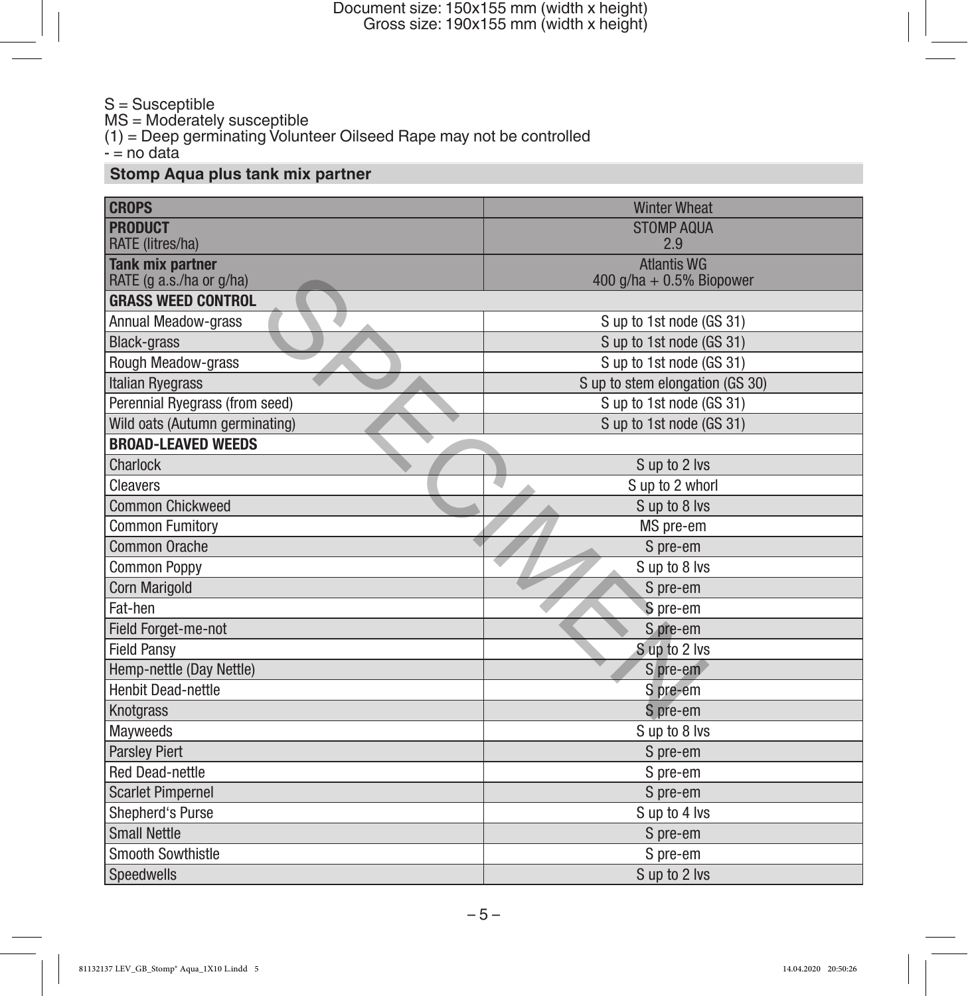Document size: 150x155 mm (width x height) Gross size: 190x155 mm (width x height)

### S = Susceptible MS = Moderately susceptible (1) = Deep germinating Volunteer Oilseed Rape may not be controlled - = no data

# **Stomp Aqua plus tank mix partner**

| <b>CROPS</b>                   | <b>Winter Wheat</b>             |
|--------------------------------|---------------------------------|
| <b>PRODUCT</b>                 | <b>STOMP AQUA</b>               |
| RATE (litres/ha)               | 2.9                             |
| <b>Tank mix partner</b>        | <b>Atlantis WG</b>              |
| RATE (g a.s./ha or g/ha)       | 400 $q/ha + 0.5%$ Biopower      |
| <b>GRASS WEED CONTROL</b>      |                                 |
| Annual Meadow-grass            | S up to 1st node (GS 31)        |
| <b>Black-grass</b>             | S up to 1st node (GS 31)        |
| Rough Meadow-grass             | S up to 1st node (GS 31)        |
| <b>Italian Ryegrass</b>        | S up to stem elongation (GS 30) |
| Perennial Ryegrass (from seed) | S up to 1st node (GS 31)        |
| Wild oats (Autumn germinating) | S up to 1st node (GS 31)        |
| <b>BROAD-LEAVED WEEDS</b>      |                                 |
| Charlock                       | S up to 2 lvs                   |
| Cleavers                       | S up to 2 whorl                 |
| <b>Common Chickweed</b>        | Sup to 8 lvs                    |
| <b>Common Fumitory</b>         | MS pre-em                       |
| <b>Common Orache</b>           | S pre-em                        |
| <b>Common Poppy</b>            | S up to 8 lvs                   |
| <b>Corn Marigold</b>           | S pre-em                        |
| Fat-hen                        | S pre-em                        |
| Field Forget-me-not            | S pre-em                        |
| <b>Field Pansy</b>             | Sup to 2 lvs                    |
| Hemp-nettle (Day Nettle)       | S pre-em                        |
| <b>Henbit Dead-nettle</b>      | S pre-em                        |
| <b>Knotgrass</b>               | S pre-em                        |
| Mayweeds                       | S up to 8 lvs                   |
| <b>Parsley Piert</b>           | S pre-em                        |
| <b>Red Dead-nettle</b>         | S pre-em                        |
| <b>Scarlet Pimpernel</b>       | S pre-em                        |
| Shepherd's Purse               | S up to 4 lvs                   |
| <b>Small Nettle</b>            | S pre-em                        |
| <b>Smooth Sowthistle</b>       | S pre-em                        |
| Speedwells                     | S up to 2 lvs                   |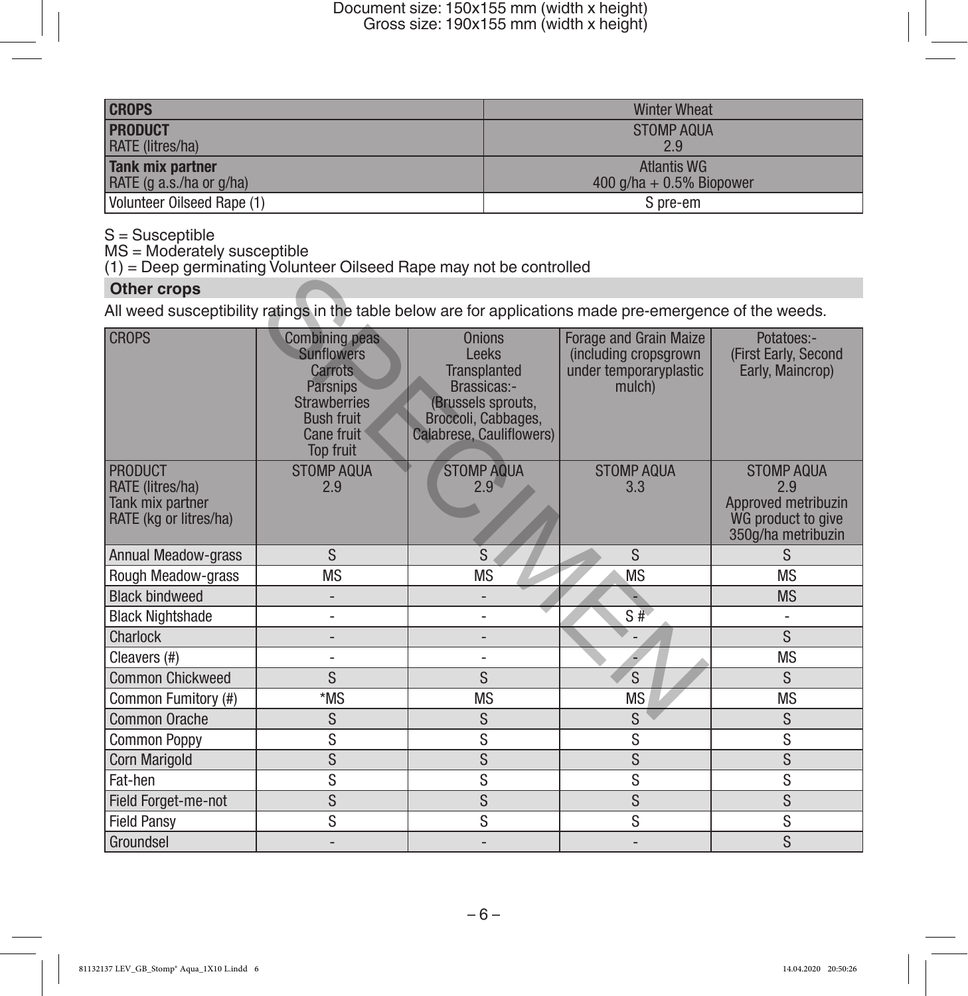| <b>CROPS</b>               | <b>Winter Wheat</b>        |
|----------------------------|----------------------------|
| <b>PRODUCT</b>             | STOMP AQUA                 |
| <b>RATE</b> (litres/ha)    | 2.9                        |
| Tank mix partner           | Atlantis WG                |
| RATE (g a.s./ha or g/ha)   | $400$ g/ha + 0.5% Biopower |
| Volunteer Oilseed Rape (1) | S pre-em                   |

S = Susceptible

MS = Moderately susceptible

(1) = Deep germinating Volunteer Oilseed Rape may not be controlled

# **Other crops**

| $(1)$ – Boop gommaning voluntion Unocea Hape may not be controlled                                       |                                                                                                                                                               |                                                                                                                                       |                                                                                            |                                                                                             |
|----------------------------------------------------------------------------------------------------------|---------------------------------------------------------------------------------------------------------------------------------------------------------------|---------------------------------------------------------------------------------------------------------------------------------------|--------------------------------------------------------------------------------------------|---------------------------------------------------------------------------------------------|
| <b>Other crops</b>                                                                                       |                                                                                                                                                               |                                                                                                                                       |                                                                                            |                                                                                             |
| All weed susceptibility ratings in the table below are for applications made pre-emergence of the weeds. |                                                                                                                                                               |                                                                                                                                       |                                                                                            |                                                                                             |
| <b>CROPS</b>                                                                                             | <b>Combining peas</b><br><b>Sunflowers</b><br><b>Carrots</b><br><b>Parsnips</b><br><b>Strawberries</b><br><b>Bush fruit</b><br>Cane fruit<br><b>Top fruit</b> | <b>Onions</b><br>Leeks<br><b>Transplanted</b><br>Brassicas:-<br>(Brussels sprouts,<br>Broccoli, Cabbages,<br>Calabrese, Cauliflowers) | <b>Forage and Grain Maize</b><br>(including cropsgrown<br>under temporaryplastic<br>mulch) | Potatoes:-<br>(First Early, Second<br>Early, Maincrop)                                      |
| <b>PRODUCT</b><br>RATE (litres/ha)<br>Tank mix partner<br>RATE (kg or litres/ha)                         | <b>STOMP AQUA</b><br>2.9                                                                                                                                      | <b>STOMP AQUA</b><br>$2.9^{4}$                                                                                                        | <b>STOMP AQUA</b><br>3.3                                                                   | <b>STOMP AQUA</b><br>2.9<br>Approved metribuzin<br>WG product to give<br>350g/ha metribuzin |
| <b>Annual Meadow-grass</b>                                                                               | S                                                                                                                                                             | S                                                                                                                                     | S                                                                                          | S.                                                                                          |
| Rough Meadow-grass                                                                                       | <b>MS</b>                                                                                                                                                     | <b>MS</b>                                                                                                                             | <b>MS</b>                                                                                  | <b>MS</b>                                                                                   |
| <b>Black bindweed</b>                                                                                    |                                                                                                                                                               |                                                                                                                                       |                                                                                            | <b>MS</b>                                                                                   |
| <b>Black Nightshade</b>                                                                                  | $\overline{\phantom{m}}$                                                                                                                                      | L                                                                                                                                     | S#                                                                                         |                                                                                             |
| Charlock                                                                                                 | -                                                                                                                                                             |                                                                                                                                       |                                                                                            | S                                                                                           |
| Cleavers (#)                                                                                             | ÷,                                                                                                                                                            |                                                                                                                                       |                                                                                            | <b>MS</b>                                                                                   |
| <b>Common Chickweed</b>                                                                                  | S                                                                                                                                                             | S                                                                                                                                     | S                                                                                          | <sub>S</sub>                                                                                |
| Common Fumitory (#)                                                                                      | *MS                                                                                                                                                           | <b>MS</b>                                                                                                                             | <b>MS</b>                                                                                  | <b>MS</b>                                                                                   |
| <b>Common Orache</b>                                                                                     | S                                                                                                                                                             | S                                                                                                                                     | S                                                                                          | S                                                                                           |
| <b>Common Poppy</b>                                                                                      | S                                                                                                                                                             | S                                                                                                                                     | S                                                                                          | S                                                                                           |
| Corn Marigold                                                                                            | S                                                                                                                                                             | S                                                                                                                                     | S                                                                                          | S                                                                                           |
| Fat-hen                                                                                                  | S                                                                                                                                                             | S                                                                                                                                     | S                                                                                          | S                                                                                           |
| Field Forget-me-not                                                                                      | S                                                                                                                                                             | S                                                                                                                                     | S                                                                                          | S                                                                                           |
| <b>Field Pansv</b>                                                                                       | S                                                                                                                                                             | S                                                                                                                                     | S                                                                                          | S                                                                                           |
| Groundsel                                                                                                |                                                                                                                                                               |                                                                                                                                       |                                                                                            | S                                                                                           |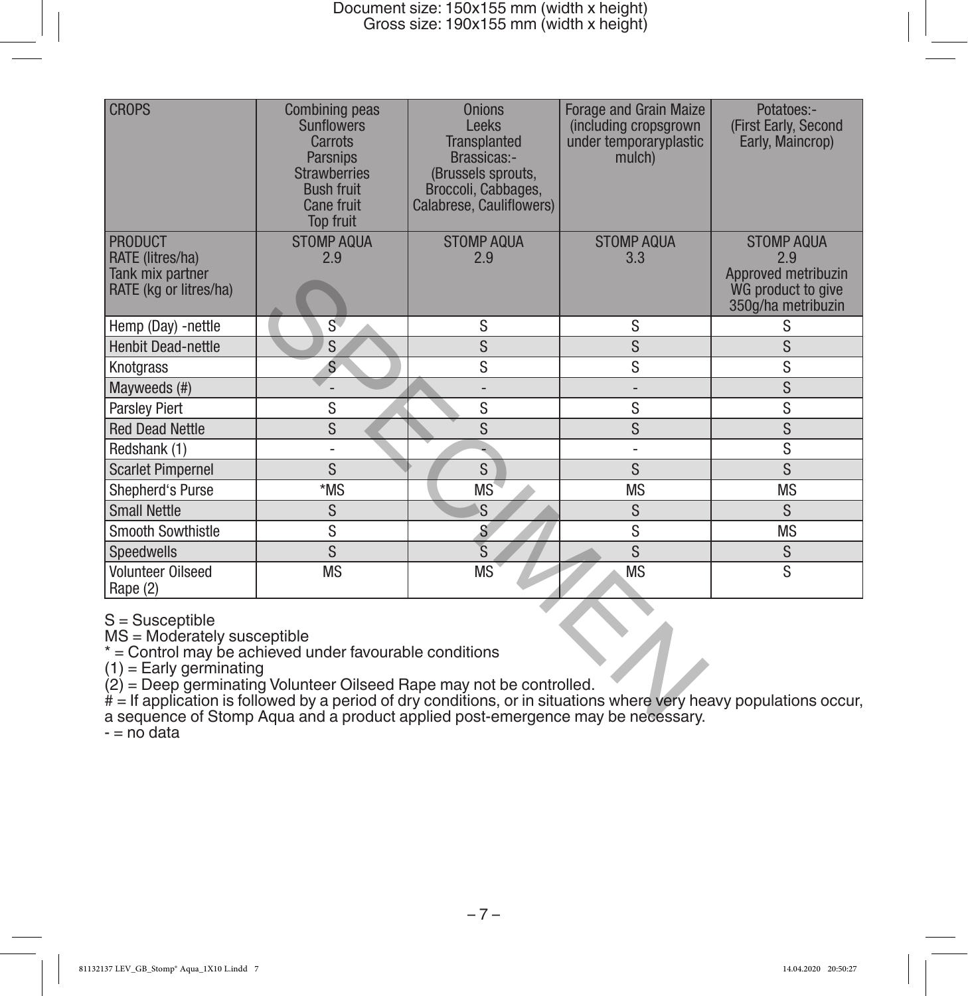| <b>CROPS</b>                                                                                                                                                                                                                                                                                      | <b>Combining peas</b><br><b>Sunflowers</b><br>Carrots<br><b>Parsnips</b><br><b>Strawberries</b><br><b>Bush fruit</b><br>Cane fruit<br><b>Top fruit</b> | <b>Onions</b><br>Leeks<br><b>Transplanted</b><br>Brassicas:-<br>(Brussels sprouts,<br>Broccoli, Cabbages,<br>Calabrese, Cauliflowers) | <b>Forage and Grain Maize</b><br>(including cropsgrown)<br>under temporaryplastic<br>mulch)                        | Potatoes:-<br>(First Early, Second<br>Early, Maincrop)                 |
|---------------------------------------------------------------------------------------------------------------------------------------------------------------------------------------------------------------------------------------------------------------------------------------------------|--------------------------------------------------------------------------------------------------------------------------------------------------------|---------------------------------------------------------------------------------------------------------------------------------------|--------------------------------------------------------------------------------------------------------------------|------------------------------------------------------------------------|
| <b>PRODUCT</b>                                                                                                                                                                                                                                                                                    | <b>STOMP AQUA</b>                                                                                                                                      | <b>STOMP AQUA</b>                                                                                                                     | <b>STOMP AQUA</b>                                                                                                  | <b>STOMP AQUA</b>                                                      |
| <b>RATE</b> (litres/ha)<br>Tank mix partner<br>RATE (kg or litres/ha)                                                                                                                                                                                                                             | 2.9                                                                                                                                                    | 2.9                                                                                                                                   | 3.3                                                                                                                | 2.9<br>Approved metribuzin<br>WG product to give<br>350g/ha metribuzin |
| Hemp (Day) -nettle                                                                                                                                                                                                                                                                                | S                                                                                                                                                      | S                                                                                                                                     | S                                                                                                                  | S                                                                      |
| <b>Henbit Dead-nettle</b>                                                                                                                                                                                                                                                                         | S                                                                                                                                                      | S                                                                                                                                     | S                                                                                                                  | S                                                                      |
| Knotgrass                                                                                                                                                                                                                                                                                         | Ś                                                                                                                                                      | S                                                                                                                                     | S                                                                                                                  | S                                                                      |
| Mayweeds (#)                                                                                                                                                                                                                                                                                      |                                                                                                                                                        | $\overline{a}$                                                                                                                        | $\overline{\phantom{0}}$                                                                                           | S                                                                      |
| <b>Parsley Piert</b>                                                                                                                                                                                                                                                                              | S                                                                                                                                                      | S                                                                                                                                     | S                                                                                                                  | S                                                                      |
| <b>Red Dead Nettle</b>                                                                                                                                                                                                                                                                            | S                                                                                                                                                      | S                                                                                                                                     | S                                                                                                                  | S                                                                      |
| Redshank (1)                                                                                                                                                                                                                                                                                      | L,                                                                                                                                                     |                                                                                                                                       | L,                                                                                                                 | S                                                                      |
| <b>Scarlet Pimpernel</b>                                                                                                                                                                                                                                                                          | S                                                                                                                                                      | S                                                                                                                                     | S                                                                                                                  | S                                                                      |
| Shepherd's Purse                                                                                                                                                                                                                                                                                  | *MS                                                                                                                                                    | MS                                                                                                                                    | <b>MS</b>                                                                                                          | <b>MS</b>                                                              |
| <b>Small Nettle</b>                                                                                                                                                                                                                                                                               | S                                                                                                                                                      | S                                                                                                                                     | S                                                                                                                  | S                                                                      |
| Smooth Sowthistle                                                                                                                                                                                                                                                                                 | S                                                                                                                                                      | S                                                                                                                                     | S                                                                                                                  | <b>MS</b>                                                              |
| Speedwells                                                                                                                                                                                                                                                                                        | S                                                                                                                                                      | $\overline{\mathsf{s}}$                                                                                                               | S                                                                                                                  | S                                                                      |
| <b>Volunteer Oilseed</b><br>Rape (2)                                                                                                                                                                                                                                                              | <b>MS</b>                                                                                                                                              | <b>MS</b>                                                                                                                             | <b>MS</b>                                                                                                          | S                                                                      |
| S = Susceptible<br>MS = Moderately susceptible<br>* = Control may be achieved under favourable conditions<br>$(1)$ = Early germinating<br>(2) = Deep germinating Volunteer Oilseed Rape may not be controlled.<br>a sequence of Stomp Aqua and a product applied post-emergence may be necessary. |                                                                                                                                                        |                                                                                                                                       | # = If application is followed by a period of dry conditions, or in situations where very heavy populations occur, |                                                                        |

a sequence of Stomp Aqua and a product applied post-emergence may be necessary.

 $-$  = no data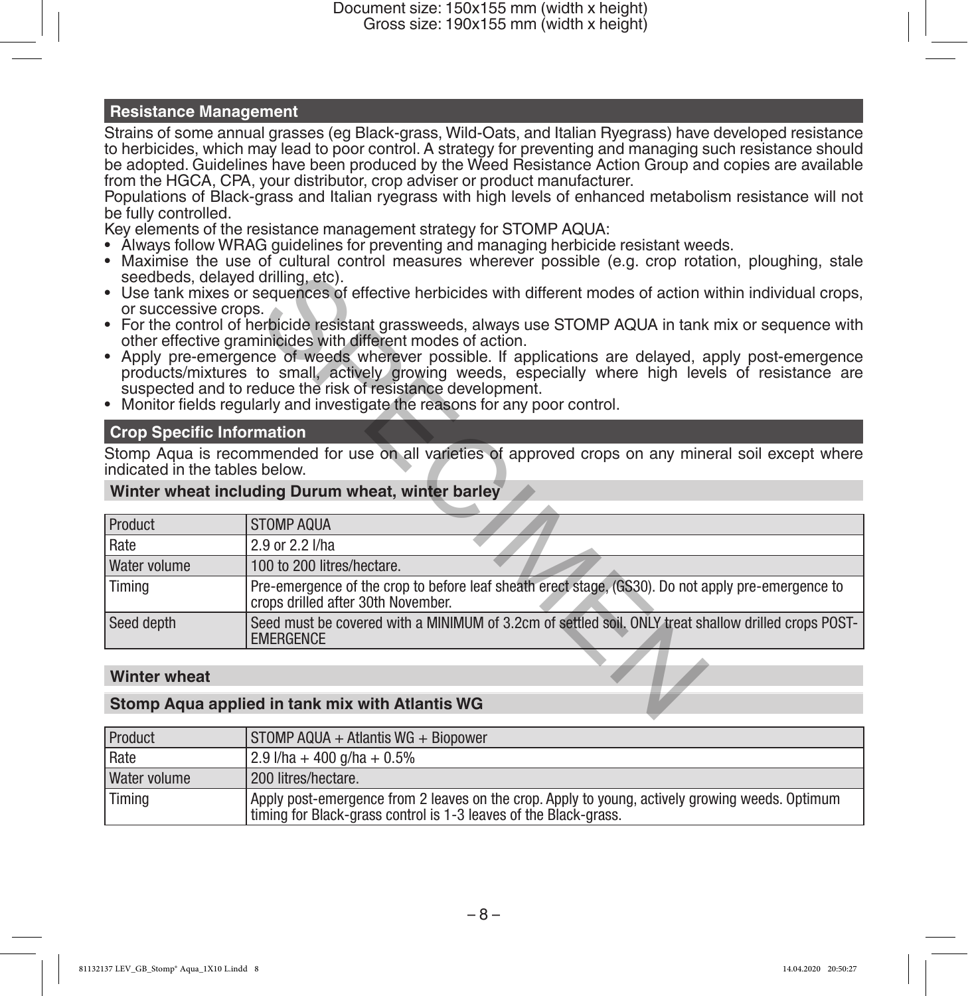# **Resistance Management**

Strains of some annual grasses (eg Black-grass, Wild-Oats, and Italian Ryegrass) have developed resistance to herbicides, which may lead to poor control. A strategy for preventing and managing such resistance should be adopted. Guidelines have been produced by the Weed Resistance Action Group and copies are available from the HGCA, CPA, your distributor, crop adviser or product manufacturer.

Populations of Black-grass and Italian ryegrass with high levels of enhanced metabolism resistance will not be fully controlled.

Key elements of the resistance management strategy for STOMP AQUA:

- Always follow WRAG guidelines for preventing and managing herbicide resistant weeds.
- Maximise the use of cultural control measures wherever possible (e.g. crop rotation, ploughing, stale seedbeds, delayed drilling, etc).
- Use tank mixes or sequences of effective herbicides with different modes of action within individual crops, or successive crops.
- For the control of herbicide resistant grassweeds, always use STOMP AQUA in tank mix or sequence with other effective graminicides with different modes of action.
- Apply pre-emergence of weeds wherever possible. If applications are delayed, apply post-emergence products/mixtures to small, actively growing weeds, especially where high levels of resistance are suspected and to reduce the risk of resistance development.
- Monitor fields regularly and investigate the reasons for any poor control.

# **Crop Specific Information**

#### **Winter wheat including Durum wheat, winter barley**

| seedbeds, delayed drilling, etc). | • Use tank mixes or sequences of effective herbicides with different modes of action within individual crops,                                                                                                                                                                                                                                                                                                                                                                                                                       |
|-----------------------------------|-------------------------------------------------------------------------------------------------------------------------------------------------------------------------------------------------------------------------------------------------------------------------------------------------------------------------------------------------------------------------------------------------------------------------------------------------------------------------------------------------------------------------------------|
| or successive crops.              | • For the control of herbicide resistant grassweeds, always use STOMP AQUA in tank mix or sequence with<br>other effective graminicides with different modes of action.<br>• Apply pre-emergence of weeds wherever possible. If applications are delayed, apply post-emergence<br>products/mixtures to small, actively growing weeds, especially where high levels of resistance are<br>suspected and to reduce the risk of resistance development.<br>• Monitor fields regularly and investigate the reasons for any poor control. |
| <b>Crop Specific Information</b>  |                                                                                                                                                                                                                                                                                                                                                                                                                                                                                                                                     |
| indicated in the tables below.    | Stomp Aqua is recommended for use on all varieties of approved crops on any mineral soil except where                                                                                                                                                                                                                                                                                                                                                                                                                               |
|                                   | Winter wheat including Durum wheat, winter barley                                                                                                                                                                                                                                                                                                                                                                                                                                                                                   |
| <b>Product</b>                    | <b>STOMP AQUA</b>                                                                                                                                                                                                                                                                                                                                                                                                                                                                                                                   |
| Rate                              | 2.9 or 2.2 l/ha                                                                                                                                                                                                                                                                                                                                                                                                                                                                                                                     |
| Water volume                      | 100 to 200 litres/hectare.                                                                                                                                                                                                                                                                                                                                                                                                                                                                                                          |
| Timing                            | Pre-emergence of the crop to before leaf sheath erect stage. (GS30). Do not apply pre-emergence to<br>crops drilled after 30th November.                                                                                                                                                                                                                                                                                                                                                                                            |
| Seed depth                        | Seed must be covered with a MINIMUM of 3.2cm of settled soil. ONLY treat shallow drilled crops POST-<br><b>EMERGENCE</b>                                                                                                                                                                                                                                                                                                                                                                                                            |
| <b>Winter wheat</b>               |                                                                                                                                                                                                                                                                                                                                                                                                                                                                                                                                     |
|                                   |                                                                                                                                                                                                                                                                                                                                                                                                                                                                                                                                     |
|                                   | Stomp Aqua applied in tank mix with Atlantis WG                                                                                                                                                                                                                                                                                                                                                                                                                                                                                     |
|                                   |                                                                                                                                                                                                                                                                                                                                                                                                                                                                                                                                     |

### **Winter wheat**

### **Stomp Aqua applied in tank mix with Atlantis WG**

| Product      | STOMP AQUA + Atlantis WG + Biopower                                                                                                                                 |
|--------------|---------------------------------------------------------------------------------------------------------------------------------------------------------------------|
| Rate         | $\frac{12.9 \text{ l/ha} + 400 \text{ g/ha} + 0.5\%}{10.5 \text{ g/ha} + 0.5\%}$                                                                                    |
| Water volume | 200 litres/hectare.                                                                                                                                                 |
| Timing       | Apply post-emergence from 2 leaves on the crop. Apply to young, actively growing weeds. Optimum<br>timing for Black-grass control is 1-3 leaves of the Black-grass. |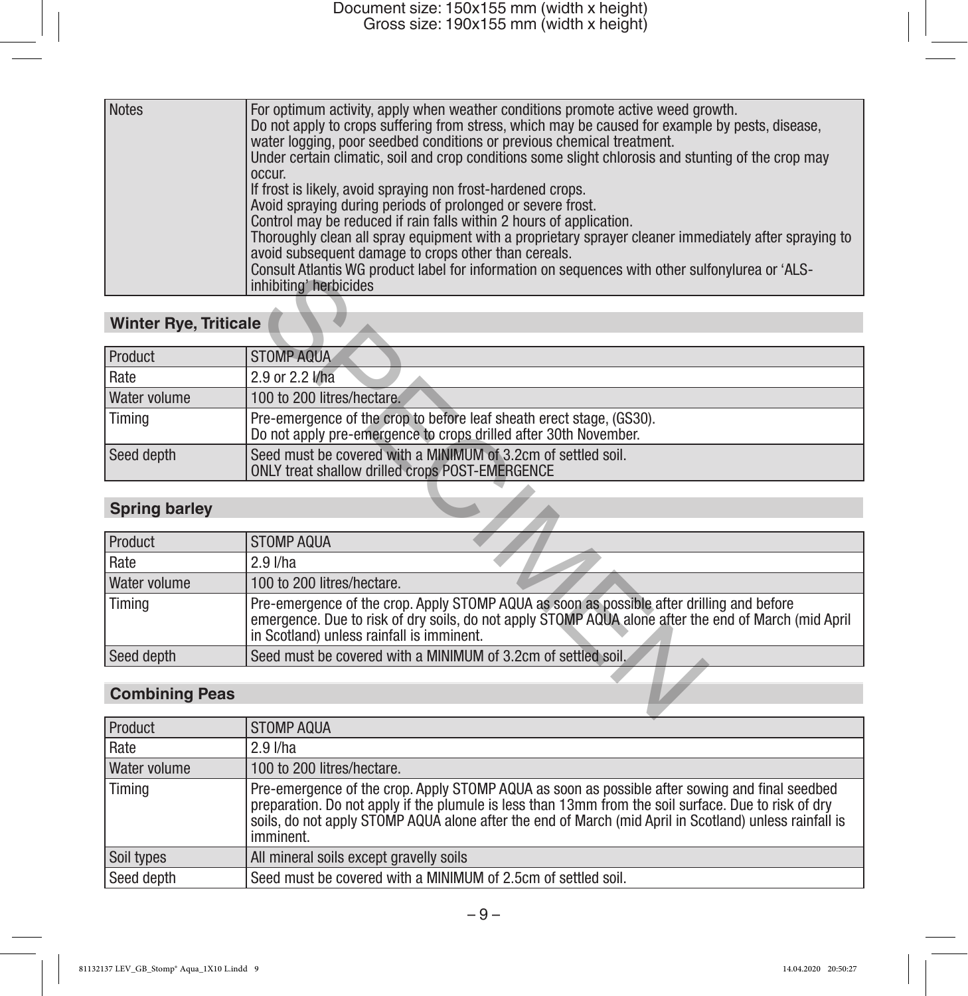| <b>Notes</b> | For optimum activity, apply when weather conditions promote active weed growth.<br>Do not apply to crops suffering from stress, which may be caused for example by pests, disease,<br>water logging, poor seedbed conditions or previous chemical treatment.<br>Under certain climatic, soil and crop conditions some slight chlorosis and stunting of the crop may<br>occur.<br>If frost is likely, avoid spraying non frost-hardened crops.<br>Avoid spraying during periods of prolonged or severe frost.<br>Control may be reduced if rain falls within 2 hours of application.<br>Thoroughly clean all spray equipment with a proprietary sprayer cleaner immediately after spraying to<br>avoid subsequent damage to crops other than cereals.<br>Consult Atlantis WG product label for information on sequences with other sulfonylurea or 'ALS-<br>inhibiting' herbicides |
|--------------|-----------------------------------------------------------------------------------------------------------------------------------------------------------------------------------------------------------------------------------------------------------------------------------------------------------------------------------------------------------------------------------------------------------------------------------------------------------------------------------------------------------------------------------------------------------------------------------------------------------------------------------------------------------------------------------------------------------------------------------------------------------------------------------------------------------------------------------------------------------------------------------|
|--------------|-----------------------------------------------------------------------------------------------------------------------------------------------------------------------------------------------------------------------------------------------------------------------------------------------------------------------------------------------------------------------------------------------------------------------------------------------------------------------------------------------------------------------------------------------------------------------------------------------------------------------------------------------------------------------------------------------------------------------------------------------------------------------------------------------------------------------------------------------------------------------------------|

# **Winter Rye, Triticale**

|                              | <u>UUISUILAIJAILIS VVU PIUUULI JAUGI JUI IIIIUIIIJAIJUI UII SEYVEIILES VIIIII UIIIEI SUIJUIVIUI GA UI "ALO"</u><br>inhibiting' herbicides                                                                                                      |
|------------------------------|------------------------------------------------------------------------------------------------------------------------------------------------------------------------------------------------------------------------------------------------|
|                              |                                                                                                                                                                                                                                                |
| <b>Winter Rye, Triticale</b> |                                                                                                                                                                                                                                                |
| Product                      | <b>STOMP AQUA</b>                                                                                                                                                                                                                              |
| Rate                         | 2.9 or 2.2 l/ha                                                                                                                                                                                                                                |
| Water volume                 | 100 to 200 litres/hectare.                                                                                                                                                                                                                     |
| Timing                       | Pre-emergence of the crop to before leaf sheath erect stage, (GS30).<br>Do not apply pre-emergence to crops drilled after 30th November.                                                                                                       |
| Seed depth                   | Seed must be covered with a MINIMUM of 3.2cm of settled soil.<br><b>ONLY treat shallow drilled crops POST-EMERGENCE</b>                                                                                                                        |
|                              |                                                                                                                                                                                                                                                |
| <b>Spring barley</b>         |                                                                                                                                                                                                                                                |
| <b>Product</b>               | <b>STOMP AQUA</b>                                                                                                                                                                                                                              |
| Rate                         | $2.9$ I/ha                                                                                                                                                                                                                                     |
| Water volume                 | 100 to 200 litres/hectare.                                                                                                                                                                                                                     |
| Timing                       | Pre-emergence of the crop. Apply STOMP AQUA as soon as possible after drilling and before<br>emergence. Due to risk of dry soils, do not apply STOMP AQUA alone after the end of March (mid April<br>in Scotland) unless rainfall is imminent. |
| Seed depth                   | Seed must be covered with a MINIMUM of 3.2cm of settled soil.                                                                                                                                                                                  |
| <b>Combining Peas</b>        |                                                                                                                                                                                                                                                |

# **Spring barley**

| Product      | STOMP AQUA                                                                                                                                                                                                                                     |
|--------------|------------------------------------------------------------------------------------------------------------------------------------------------------------------------------------------------------------------------------------------------|
| Rate         | $2.9$ I/ha                                                                                                                                                                                                                                     |
| Water volume | 100 to 200 litres/hectare.                                                                                                                                                                                                                     |
| Timing       | Pre-emergence of the crop. Apply STOMP AQUA as soon as possible after drilling and before<br>emergence. Due to risk of dry soils, do not apply STOMP AQUA alone after the end of March (mid April<br>in Scotland) unless rainfall is imminent. |
| Seed depth   | Seed must be covered with a MINIMUM of 3.2cm of settled soil.                                                                                                                                                                                  |

# **Combining Peas**

| Product             | STOMP AQUA                                                                                                                                                                                                                                                                                                                    |
|---------------------|-------------------------------------------------------------------------------------------------------------------------------------------------------------------------------------------------------------------------------------------------------------------------------------------------------------------------------|
| Rate                | $2.9$ I/ha                                                                                                                                                                                                                                                                                                                    |
| <b>Water volume</b> | 100 to 200 litres/hectare.                                                                                                                                                                                                                                                                                                    |
| Timing              | Pre-emergence of the crop. Apply STOMP AQUA as soon as possible after sowing and final seedbed<br>preparation. Do not apply if the plumule is less than 13mm from the soil surface. Due to risk of dry<br>soils, do not apply STOMP AQUA alone after the end of March (mid April in Scotland) unless rainfall is<br>imminent. |
| Soil types          | All mineral soils except gravelly soils                                                                                                                                                                                                                                                                                       |
| Seed depth          | Seed must be covered with a MINIMUM of 2.5cm of settled soil.                                                                                                                                                                                                                                                                 |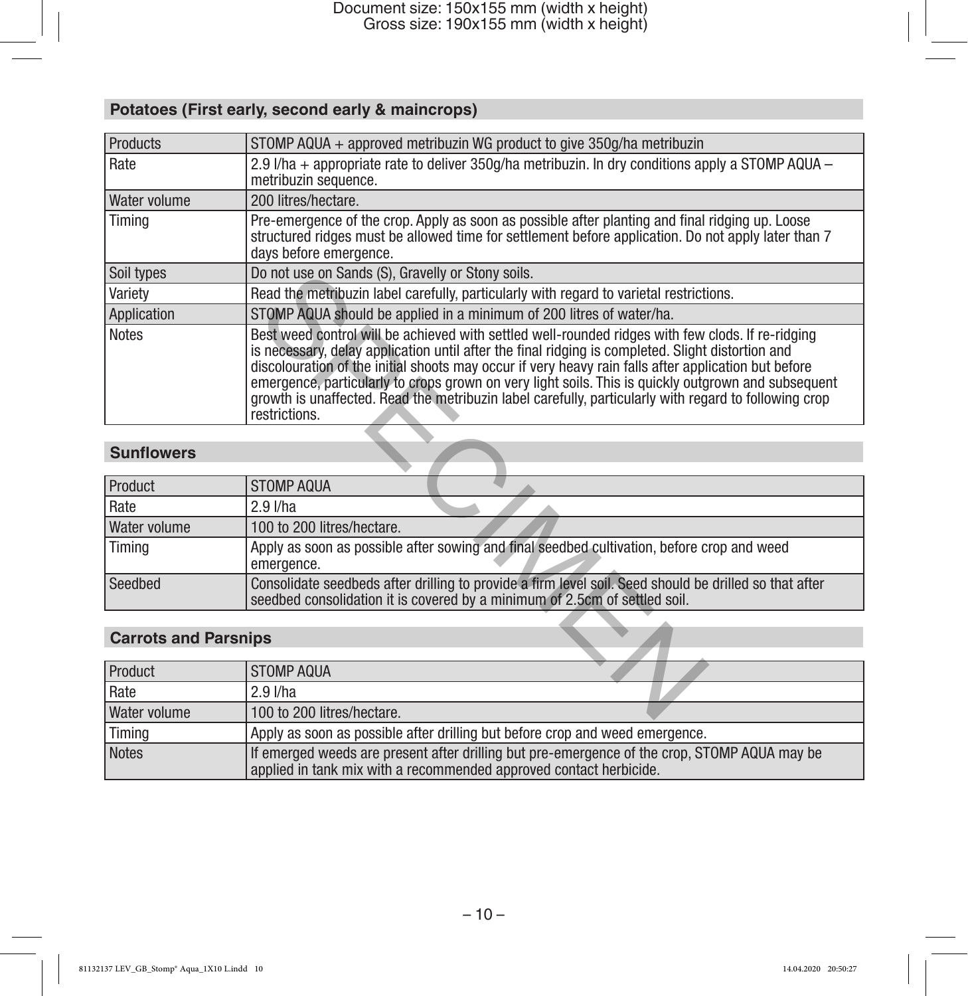# **Potatoes (First early, second early & maincrops)**

| Products                    | STOMP AQUA + approved metribuzin WG product to give 350g/ha metribuzin                                                                                                                                                                                                                                                                                                                                                                                                                                                                          |  |
|-----------------------------|-------------------------------------------------------------------------------------------------------------------------------------------------------------------------------------------------------------------------------------------------------------------------------------------------------------------------------------------------------------------------------------------------------------------------------------------------------------------------------------------------------------------------------------------------|--|
| Rate                        | 2.9 $1$ /ha + appropriate rate to deliver 350g/ha metribuzin. In dry conditions apply a STOMP AQUA –<br>metribuzin sequence.                                                                                                                                                                                                                                                                                                                                                                                                                    |  |
| <b>Water volume</b>         | 200 litres/hectare.                                                                                                                                                                                                                                                                                                                                                                                                                                                                                                                             |  |
| Timina                      | Pre-emergence of the crop. Apply as soon as possible after planting and final ridging up. Loose<br>structured ridges must be allowed time for settlement before application. Do not apply later than 7<br>days before emergence.                                                                                                                                                                                                                                                                                                                |  |
| Soil types                  | Do not use on Sands (S), Gravelly or Stony soils.                                                                                                                                                                                                                                                                                                                                                                                                                                                                                               |  |
| Variety                     | Read the metribuzin label carefully, particularly with regard to varietal restrictions.                                                                                                                                                                                                                                                                                                                                                                                                                                                         |  |
| <b>Application</b>          | STOMP AQUA should be applied in a minimum of 200 litres of water/ha.                                                                                                                                                                                                                                                                                                                                                                                                                                                                            |  |
| <b>Notes</b>                | Best weed control will be achieved with settled well-rounded ridges with few clods. If re-ridging<br>is necessary, delay application until after the final ridging is completed. Slight distortion and<br>discolouration of the initial shoots may occur if very heavy rain falls after application but before<br>emergence, particularly to crops grown on very light soils. This is quickly outgrown and subsequent<br>growth is unaffected. Read the metribuzin label carefully, particularly with regard to following crop<br>restrictions. |  |
|                             |                                                                                                                                                                                                                                                                                                                                                                                                                                                                                                                                                 |  |
| <b>Sunflowers</b>           |                                                                                                                                                                                                                                                                                                                                                                                                                                                                                                                                                 |  |
|                             |                                                                                                                                                                                                                                                                                                                                                                                                                                                                                                                                                 |  |
| Product                     | <b>STOMP AQUA</b>                                                                                                                                                                                                                                                                                                                                                                                                                                                                                                                               |  |
| Rate                        | 2.9 l/ha                                                                                                                                                                                                                                                                                                                                                                                                                                                                                                                                        |  |
| Water volume                | 100 to 200 litres/hectare.                                                                                                                                                                                                                                                                                                                                                                                                                                                                                                                      |  |
| Timina                      | Apply as soon as possible after sowing and final seedbed cultivation, before crop and weed<br>emergence.                                                                                                                                                                                                                                                                                                                                                                                                                                        |  |
| Seedbed                     | Consolidate seedbeds after drilling to provide a firm level soil. Seed should be drilled so that after<br>seedbed consolidation it is covered by a minimum of 2.5cm of settled soil.                                                                                                                                                                                                                                                                                                                                                            |  |
|                             |                                                                                                                                                                                                                                                                                                                                                                                                                                                                                                                                                 |  |
| <b>Carrots and Parsnips</b> |                                                                                                                                                                                                                                                                                                                                                                                                                                                                                                                                                 |  |
| <b>Product</b>              | <b>STOMP AQUA</b>                                                                                                                                                                                                                                                                                                                                                                                                                                                                                                                               |  |
| Rate                        | 2.9 l/ha                                                                                                                                                                                                                                                                                                                                                                                                                                                                                                                                        |  |

# **Sunflowers**

| Product      | <b>STOMP AQUA</b>                                                                                                                                                                    |  |
|--------------|--------------------------------------------------------------------------------------------------------------------------------------------------------------------------------------|--|
| Rate         | $2.9$ I/ha                                                                                                                                                                           |  |
| Water volume | 100 to 200 litres/hectare.                                                                                                                                                           |  |
| Timing       | Apply as soon as possible after sowing and final seedbed cultivation, before crop and weed<br>emergence.                                                                             |  |
| Seedbed      | Consolidate seedbeds after drilling to provide a firm level soil. Seed should be drilled so that after<br>seedbed consolidation it is covered by a minimum of 2.5cm of settled soil. |  |

# **Carrots and Parsnips**

| Product      | <b>STOMP AQUA</b>                                                                                                                                                  |  |
|--------------|--------------------------------------------------------------------------------------------------------------------------------------------------------------------|--|
| l Rate       | $2.9$ I/ha                                                                                                                                                         |  |
| Water volume | 100 to 200 litres/hectare.                                                                                                                                         |  |
| 'Timing      | Apply as soon as possible after drilling but before crop and weed emergence.                                                                                       |  |
| Notes        | If emerged weeds are present after drilling but pre-emergence of the crop, STOMP AQUA may be<br>applied in tank mix with a recommended approved contact herbicide. |  |

 $-10-$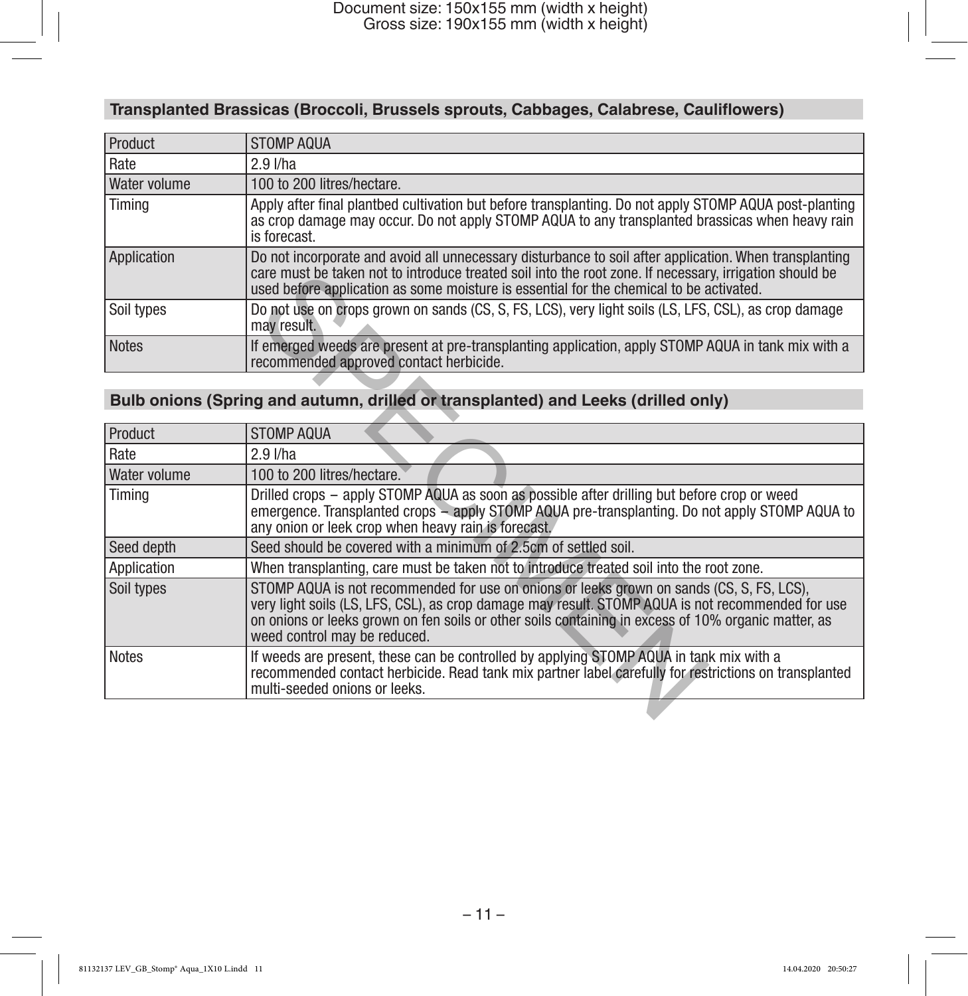# **Transplanted Brassicas (Broccoli, Brussels sprouts, Cabbages, Calabrese, Cauliflowers)**

| Product      | <b>STOMP AQUA</b>                                                                                                                                                                                                                                                                                            |  |
|--------------|--------------------------------------------------------------------------------------------------------------------------------------------------------------------------------------------------------------------------------------------------------------------------------------------------------------|--|
| Rate         | $2.9$ I/ha                                                                                                                                                                                                                                                                                                   |  |
| Water volume | 100 to 200 litres/hectare.                                                                                                                                                                                                                                                                                   |  |
| Timing       | Apply after final plantbed cultivation but before transplanting. Do not apply STOMP AQUA post-planting<br>as crop damage may occur. Do not apply STOMP AQUA to any transplanted brassicas when heavy rain<br>is forecast.                                                                                    |  |
| Application  | Do not incorporate and avoid all unnecessary disturbance to soil after application. When transplanting<br>care must be taken not to introduce treated soil into the root zone. If necessary, irrigation should be<br>used before application as some moisture is essential for the chemical to be activated. |  |
| Soil types   | Do not use on crops grown on sands (CS, S, FS, LCS), very light soils (LS, LFS, CSL), as crop damage<br>may result.                                                                                                                                                                                          |  |
| <b>Notes</b> | If emerged weeds are present at pre-transplanting application, apply STOMP AQUA in tank mix with a<br>recommended approved contact herbicide.                                                                                                                                                                |  |

# **Bulb onions (Spring and autumn, drilled or transplanted) and Leeks (drilled only)**

|                | care must be taken not to introduce treated soil into the root zone. If necessary, irrigation should be<br>used before application as some moisture is essential for the chemical to be activated.                                                                                                                                    |  |
|----------------|---------------------------------------------------------------------------------------------------------------------------------------------------------------------------------------------------------------------------------------------------------------------------------------------------------------------------------------|--|
| Soil types     | Do not use on crops grown on sands (CS, S, FS, LCS), very light soils (LS, LFS, CSL), as crop damage<br>may result.                                                                                                                                                                                                                   |  |
| Notes          | If emerged weeds are present at pre-transplanting application, apply STOMP AQUA in tank mix with a<br>recommended approved contact herbicide.                                                                                                                                                                                         |  |
|                |                                                                                                                                                                                                                                                                                                                                       |  |
|                | Bulb onions (Spring and autumn, drilled or transplanted) and Leeks (drilled only)                                                                                                                                                                                                                                                     |  |
| <b>Product</b> | <b>STOMP AQUA</b>                                                                                                                                                                                                                                                                                                                     |  |
|                |                                                                                                                                                                                                                                                                                                                                       |  |
| Rate           | $2.9$ $I/ha$                                                                                                                                                                                                                                                                                                                          |  |
| Water volume   | 100 to 200 litres/hectare.                                                                                                                                                                                                                                                                                                            |  |
| Timing         | Drilled crops – apply STOMP AQUA as soon as possible after drilling but before crop or weed<br>emergence. Transplanted crops – apply STOMP AQUA pre-transplanting. Do not apply STOMP AQUA to<br>any onion or leek crop when heavy rain is forecast.                                                                                  |  |
| Seed depth     | Seed should be covered with a minimum of 2.5cm of settled soil.                                                                                                                                                                                                                                                                       |  |
| Application    | When transplanting, care must be taken not to introduce treated soil into the root zone.                                                                                                                                                                                                                                              |  |
| Soil types     | STOMP AQUA is not recommended for use on onions or leeks grown on sands (CS, S, FS, LCS),<br>very light soils (LS, LFS, CSL), as crop damage may result. STOMP AQUA is not recommended for use<br>on onions or leeks grown on fen soils or other soils containing in excess of 10% organic matter, as<br>weed control may be reduced. |  |
| <b>Notes</b>   | If weeds are present, these can be controlled by applying STOMP AQUA in tank mix with a<br>recommended contact herbicide. Read tank mix partner label carefully for restrictions on transplanted<br>multi-seeded onions or leeks.                                                                                                     |  |
|                |                                                                                                                                                                                                                                                                                                                                       |  |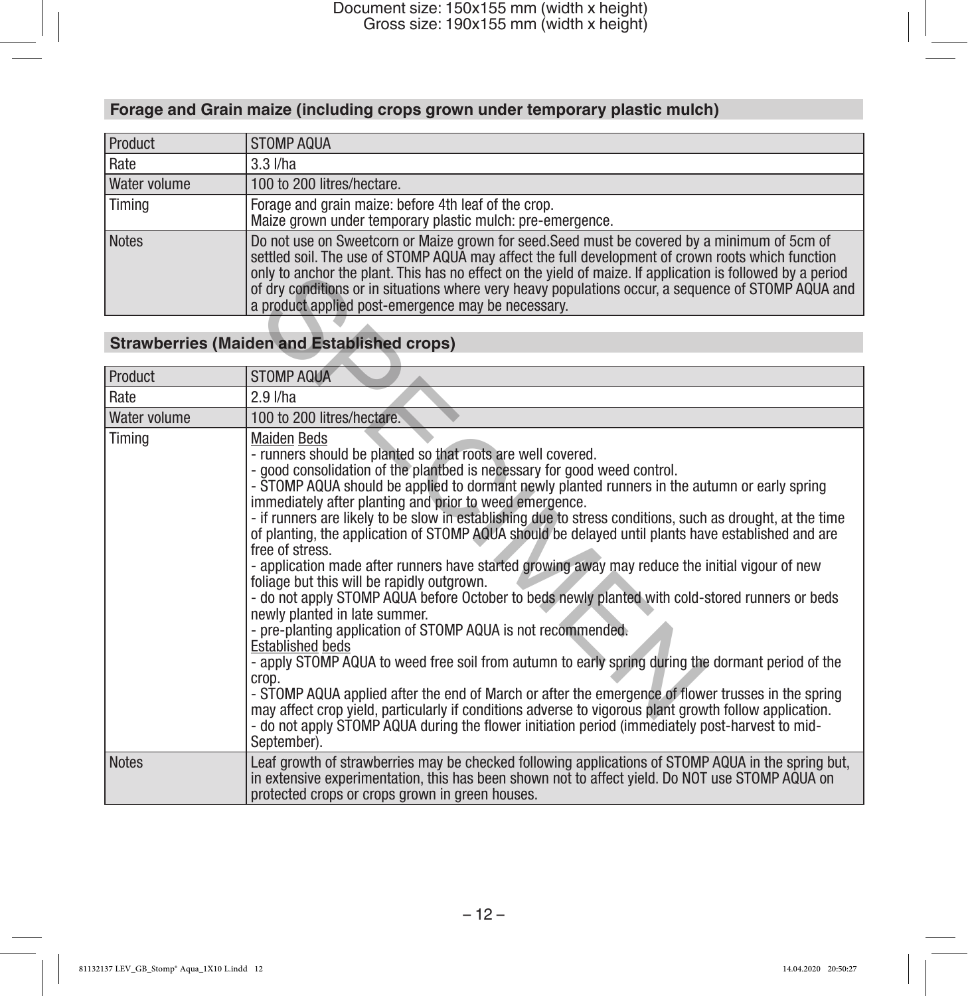# **Forage and Grain maize (including crops grown under temporary plastic mulch)**

| Product      | <b>STOMP AQUA</b>                                                                                                                                                                                                                                                                                                                                                                                                                                                            |
|--------------|------------------------------------------------------------------------------------------------------------------------------------------------------------------------------------------------------------------------------------------------------------------------------------------------------------------------------------------------------------------------------------------------------------------------------------------------------------------------------|
| Rate         | $3.3$ $I/ha$                                                                                                                                                                                                                                                                                                                                                                                                                                                                 |
| Water volume | 100 to 200 litres/hectare.                                                                                                                                                                                                                                                                                                                                                                                                                                                   |
| Timing       | Forage and grain maize: before 4th leaf of the crop.<br>Maize grown under temporary plastic mulch: pre-emergence.                                                                                                                                                                                                                                                                                                                                                            |
| <b>Notes</b> | Do not use on Sweetcorn or Maize grown for seed. Seed must be covered by a minimum of 5cm of<br>settled soil. The use of STOMP AQUA may affect the full development of crown roots which function<br>only to anchor the plant. This has no effect on the yield of maize. If application is followed by a period<br>of dry conditions or in situations where very heavy populations occur, a sequence of STOMP AQUA and<br>a product applied post-emergence may be necessary. |

# **Strawberries (Maiden and Established crops)**

|              | only to anchor the plant. This has no effect on the vield of maize. If application is followed by a period<br>of dry conditions or in situations where very heavy populations occur, a sequence of STOMP AQUA and<br>a product applied post-emergence may be necessary.                                                                                                                                                                                                                                                                                                                                                                                                                                                                                                                                                                                                                                                                                                                                                                                                                                                                                                                                                                                                                                                                                                                         |
|--------------|-------------------------------------------------------------------------------------------------------------------------------------------------------------------------------------------------------------------------------------------------------------------------------------------------------------------------------------------------------------------------------------------------------------------------------------------------------------------------------------------------------------------------------------------------------------------------------------------------------------------------------------------------------------------------------------------------------------------------------------------------------------------------------------------------------------------------------------------------------------------------------------------------------------------------------------------------------------------------------------------------------------------------------------------------------------------------------------------------------------------------------------------------------------------------------------------------------------------------------------------------------------------------------------------------------------------------------------------------------------------------------------------------|
|              | <b>Strawberries (Maiden and Established crops)</b>                                                                                                                                                                                                                                                                                                                                                                                                                                                                                                                                                                                                                                                                                                                                                                                                                                                                                                                                                                                                                                                                                                                                                                                                                                                                                                                                              |
| Product      | <b>STOMP AQUA</b>                                                                                                                                                                                                                                                                                                                                                                                                                                                                                                                                                                                                                                                                                                                                                                                                                                                                                                                                                                                                                                                                                                                                                                                                                                                                                                                                                                               |
| Rate         | 2.9 l/ha                                                                                                                                                                                                                                                                                                                                                                                                                                                                                                                                                                                                                                                                                                                                                                                                                                                                                                                                                                                                                                                                                                                                                                                                                                                                                                                                                                                        |
| Water volume | 100 to 200 litres/hectare.                                                                                                                                                                                                                                                                                                                                                                                                                                                                                                                                                                                                                                                                                                                                                                                                                                                                                                                                                                                                                                                                                                                                                                                                                                                                                                                                                                      |
| Timing       | <b>Maiden Beds</b><br>- runners should be planted so that roots are well covered.<br>- good consolidation of the plantbed is necessary for good weed control.<br>- STOMP AQUA should be applied to dormant newly planted runners in the autumn or early spring<br>immediately after planting and prior to weed emergence.<br>- if runners are likely to be slow in establishing due to stress conditions, such as drought, at the time<br>of planting, the application of STOMP AQUA should be delayed until plants have established and are<br>free of stress.<br>- application made after runners have started growing away may reduce the initial vigour of new<br>foliage but this will be rapidly outgrown.<br>- do not apply STOMP AQUA before October to beds newly planted with cold-stored runners or beds<br>newly planted in late summer.<br>- pre-planting application of STOMP AQUA is not recommended.<br><b>Established beds</b><br>- apply STOMP AQUA to weed free soil from autumn to early spring during the dormant period of the<br>crop.<br>- STOMP AQUA applied after the end of March or after the emergence of flower trusses in the spring<br>may affect crop yield, particularly if conditions adverse to vigorous plant growth follow application.<br>- do not apply STOMP AQUA during the flower initiation period (immediately post-harvest to mid-<br>September). |
| <b>Notes</b> | Leaf growth of strawberries may be checked following applications of STOMP AQUA in the spring but,<br>in extensive experimentation, this has been shown not to affect yield. Do NOT use STOMP AQUA on<br>protected crops or crops grown in green houses.                                                                                                                                                                                                                                                                                                                                                                                                                                                                                                                                                                                                                                                                                                                                                                                                                                                                                                                                                                                                                                                                                                                                        |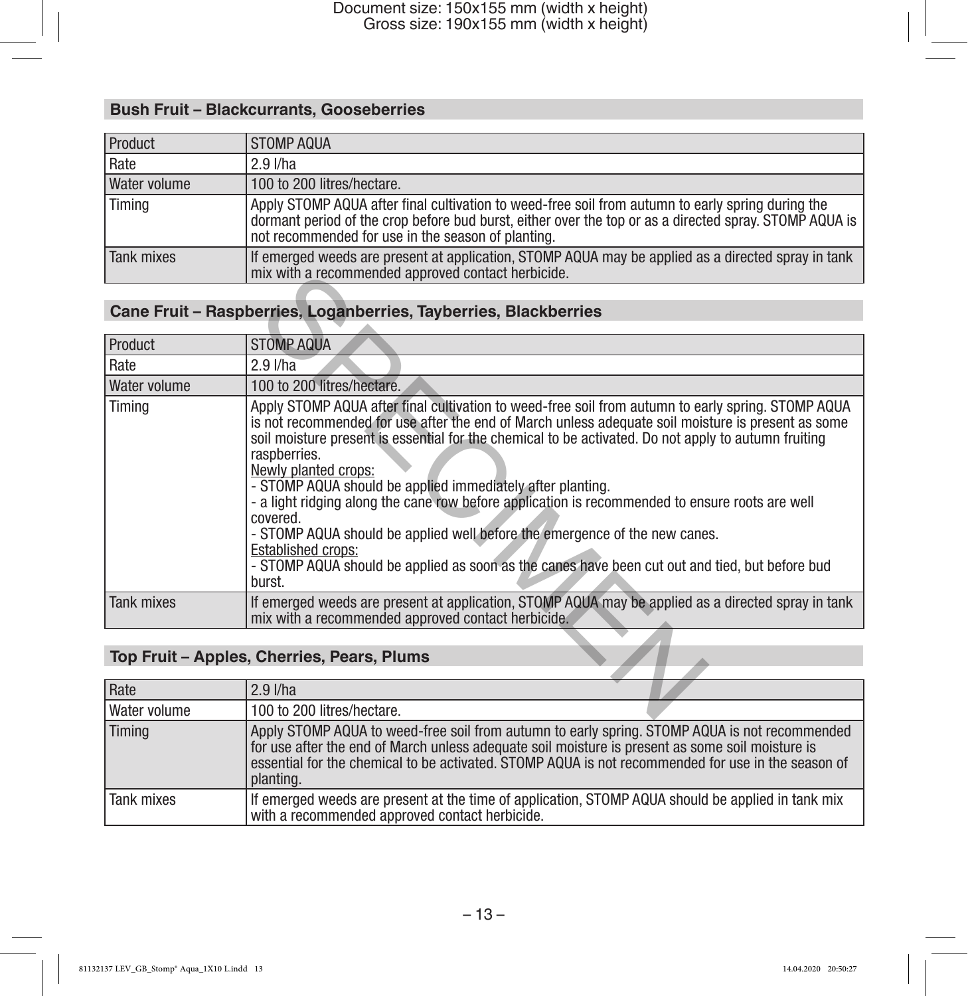# **Bush Fruit – Blackcurrants, Gooseberries**

| Product      | STOMP AQUA                                                                                                                                                                                                                                                        |
|--------------|-------------------------------------------------------------------------------------------------------------------------------------------------------------------------------------------------------------------------------------------------------------------|
| Rate         | $2.9$ I/ha                                                                                                                                                                                                                                                        |
| Water volume | 100 to 200 litres/hectare.                                                                                                                                                                                                                                        |
| Timing       | Apply STOMP AQUA after final cultivation to weed-free soil from autumn to early spring during the<br>dormant period of the crop before bud burst, either over the top or as a directed spray. STOMP AQUA is<br>not recommended for use in the season of planting. |
| Tank mixes   | If emerged weeds are present at application, STOMP AQUA may be applied as a directed spray in tank<br>mix with a recommended approved contact herbicide.                                                                                                          |

# **Cane Fruit – Raspberries, Loganberries, Tayberries, Blackberries**

|                                            | mix with a recommended approved contact herbicide.                                                                                                                                                                                                                                                                                                                                                                                                                                                                                                                                                                                                                                                                                                           |  |
|--------------------------------------------|--------------------------------------------------------------------------------------------------------------------------------------------------------------------------------------------------------------------------------------------------------------------------------------------------------------------------------------------------------------------------------------------------------------------------------------------------------------------------------------------------------------------------------------------------------------------------------------------------------------------------------------------------------------------------------------------------------------------------------------------------------------|--|
|                                            |                                                                                                                                                                                                                                                                                                                                                                                                                                                                                                                                                                                                                                                                                                                                                              |  |
|                                            | Cane Fruit - Raspberries, Loganberries, Tayberries, Blackberries                                                                                                                                                                                                                                                                                                                                                                                                                                                                                                                                                                                                                                                                                             |  |
|                                            |                                                                                                                                                                                                                                                                                                                                                                                                                                                                                                                                                                                                                                                                                                                                                              |  |
| <b>Product</b>                             | <b>STOMP AQUA</b>                                                                                                                                                                                                                                                                                                                                                                                                                                                                                                                                                                                                                                                                                                                                            |  |
| Rate                                       | $2.9$ $I/ha$                                                                                                                                                                                                                                                                                                                                                                                                                                                                                                                                                                                                                                                                                                                                                 |  |
| Water volume                               | 100 to 200 litres/hectare.                                                                                                                                                                                                                                                                                                                                                                                                                                                                                                                                                                                                                                                                                                                                   |  |
| Timing                                     | Apply STOMP AQUA after final cultivation to weed-free soil from autumn to early spring. STOMP AQUA<br>is not recommended for use after the end of March unless adequate soil moisture is present as some<br>soil moisture present is essential for the chemical to be activated. Do not apply to autumn fruiting<br>raspberries.<br>Newly planted crops:<br>- STOMP AQUA should be applied immediately after planting.<br>- a light ridging along the cane row before application is recommended to ensure roots are well<br>covered.<br>- STOMP AQUA should be applied well before the emergence of the new canes.<br><b>Established crops:</b><br>- STOMP AQUA should be applied as soon as the canes have been cut out and tied, but before bud<br>burst. |  |
| Tank mixes                                 | If emerged weeds are present at application, STOMP AQUA may be applied as a directed spray in tank<br>mix with a recommended approved contact herbicide.                                                                                                                                                                                                                                                                                                                                                                                                                                                                                                                                                                                                     |  |
|                                            |                                                                                                                                                                                                                                                                                                                                                                                                                                                                                                                                                                                                                                                                                                                                                              |  |
| Top Fruit - Apples, Cherries, Pears, Plums |                                                                                                                                                                                                                                                                                                                                                                                                                                                                                                                                                                                                                                                                                                                                                              |  |
| Rate                                       | $2.9$ I/ha                                                                                                                                                                                                                                                                                                                                                                                                                                                                                                                                                                                                                                                                                                                                                   |  |
| Water volume                               | 100 to 200 litres/hectare.                                                                                                                                                                                                                                                                                                                                                                                                                                                                                                                                                                                                                                                                                                                                   |  |

# **Top Fruit – Apples, Cherries, Pears, Plums**

| Rate         | $2.9$ I/ha                                                                                                                                                                                                                                                                                                           |
|--------------|----------------------------------------------------------------------------------------------------------------------------------------------------------------------------------------------------------------------------------------------------------------------------------------------------------------------|
| Water volume | 100 to 200 litres/hectare.                                                                                                                                                                                                                                                                                           |
| Timing       | Apply STOMP AQUA to weed-free soil from autumn to early spring. STOMP AQUA is not recommended<br>for use after the end of March unless adequate soil moisture is present as some soil moisture is<br>essential for the chemical to be activated. STOMP AQUA is not recommended for use in the season of<br>planting. |
| Tank mixes   | If emerged weeds are present at the time of application, STOMP AQUA should be applied in tank mix<br>with a recommended approved contact herbicide.                                                                                                                                                                  |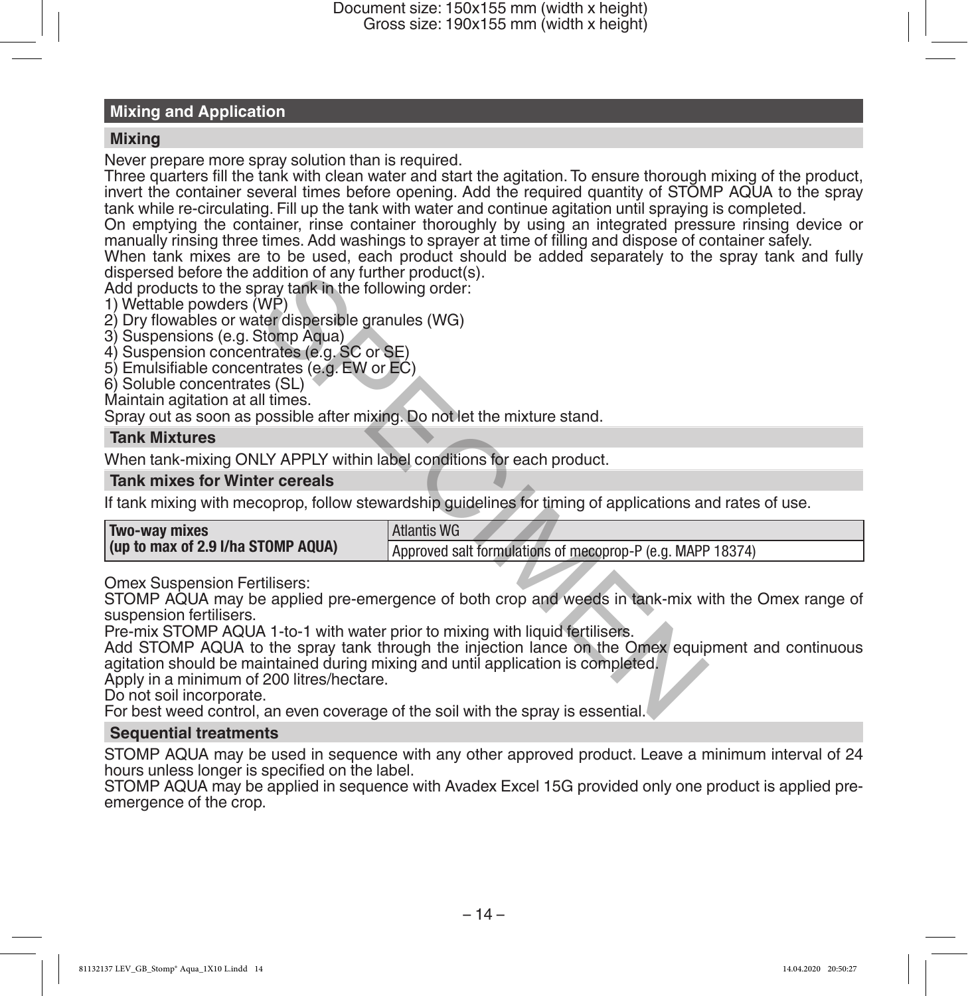# **Mixing and Application**

## **Mixing**

Never prepare more spray solution than is required.

Three quarters fill the tank with clean water and start the agitation. To ensure thorough mixing of the product, invert the container several times before opening. Add the required quantity of STOMP AQUA to the spray tank while re-circulating. Fill up the tank with water and continue agitation until spraying is completed.

On emptying the container, rinse container thoroughly by using an integrated pressure rinsing device or manually rinsing three times. Add washings to sprayer at time of filling and dispose of container safely.

When tank mixes are to be used, each product should be added separately to the spray tank and fully dispersed before the addition of any further product(s).

# **Tank Mixtures**

# **Tank mixes for Winter cereals**

| dispersed before the addition of any further product(s).<br>Add products to the spray tank in the following order:<br>1) Wettable powders (WP)<br>2) Dry flowables or water dispersible granules (WG)<br>3) Suspensions (e.g. Stomp Aqua)<br>4) Suspension concentrates (e.g. SC or SE)<br>5) Emulsifiable concentrates (e.g. EW or EC)<br>6) Soluble concentrates (SL)<br>Maintain agitation at all times.<br>Spray out as soon as possible after mixing. Do not let the mixture stand. |                                                                                                                                                                                                        |
|------------------------------------------------------------------------------------------------------------------------------------------------------------------------------------------------------------------------------------------------------------------------------------------------------------------------------------------------------------------------------------------------------------------------------------------------------------------------------------------|--------------------------------------------------------------------------------------------------------------------------------------------------------------------------------------------------------|
| <b>Tank Mixtures</b>                                                                                                                                                                                                                                                                                                                                                                                                                                                                     |                                                                                                                                                                                                        |
| When tank-mixing ONLY APPLY within label conditions for each product.                                                                                                                                                                                                                                                                                                                                                                                                                    |                                                                                                                                                                                                        |
| <b>Tank mixes for Winter cereals</b>                                                                                                                                                                                                                                                                                                                                                                                                                                                     |                                                                                                                                                                                                        |
|                                                                                                                                                                                                                                                                                                                                                                                                                                                                                          | If tank mixing with mecoprop, follow stewardship guidelines for timing of applications and rates of use.                                                                                               |
| Two-way mixes                                                                                                                                                                                                                                                                                                                                                                                                                                                                            | <b>Atlantis WG</b>                                                                                                                                                                                     |
| (up to max of 2.9 I/ha STOMP AQUA)                                                                                                                                                                                                                                                                                                                                                                                                                                                       | Approved salt formulations of mecoprop-P (e.g. MAPP 18374)                                                                                                                                             |
| <b>Omex Suspension Fertilisers:</b><br>suspension fertilisers.<br>Pre-mix STOMP AQUA 1-to-1 with water prior to mixing with liquid fertilisers.<br>agitation should be maintained during mixing and until application is completed.<br>Apply in a minimum of 200 litres/hectare.<br>Do not soil incorporate.                                                                                                                                                                             | STOMP AQUA may be applied pre-emergence of both crop and weeds in tank-mix with the Omex range of<br>Add STOMP AQUA to the spray tank through the injection lance on the Omex equipment and continuous |

### **Sequential treatments**

STOMP AQUA may be used in sequence with any other approved product. Leave a minimum interval of 24 hours unless longer is specified on the label.

STOMP AQUA may be applied in sequence with Avadex Excel 15G provided only one product is applied preemergence of the crop.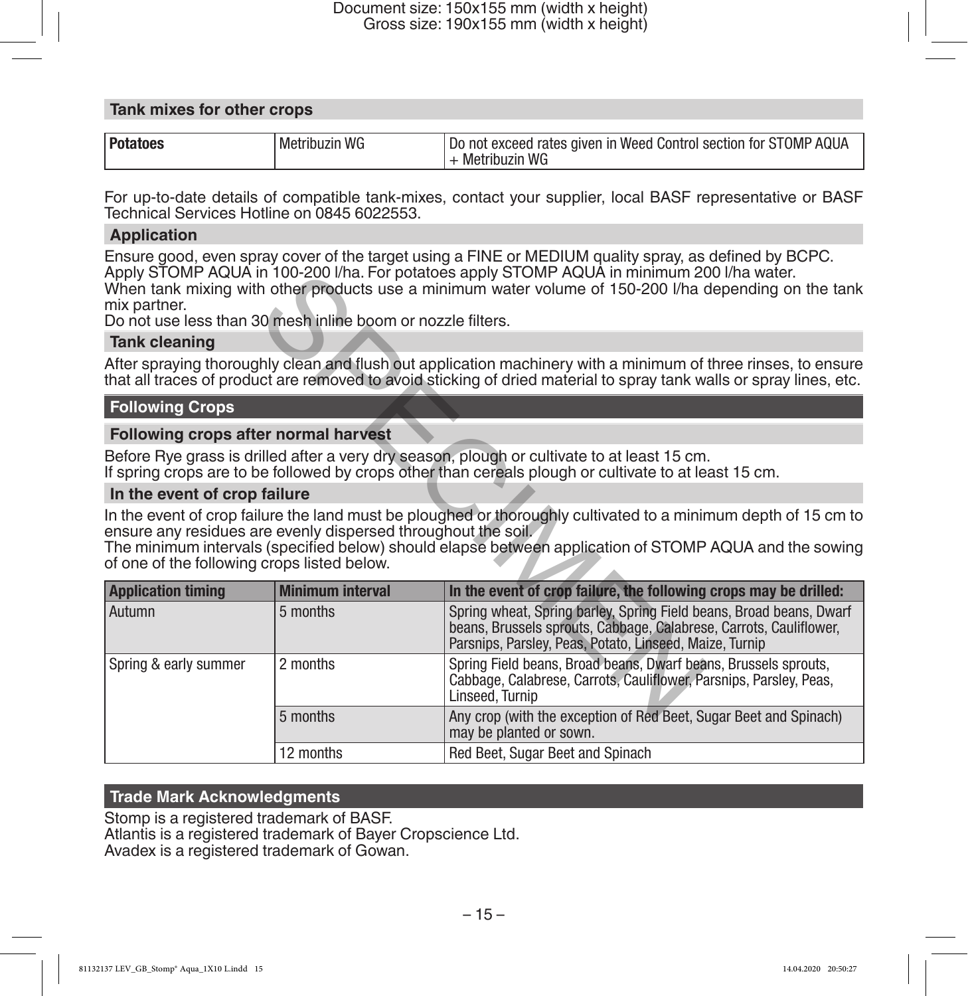### **Tank mixes for other crops**

| Pot.<br><b>WG</b><br>It exceed rates given in Weed Control section for STOMP AQUA<br>not<br>Metribuzin<br>IJ0<br>WG<br>etribi izin<br><b>Met</b> |  |
|--------------------------------------------------------------------------------------------------------------------------------------------------|--|
|--------------------------------------------------------------------------------------------------------------------------------------------------|--|

For up-to-date details of compatible tank-mixes, contact your supplier, local BASF representative or BASF Technical Services Hotline on 0845 6022553.

# **Application**

Ensure good, even spray cover of the target using a FINE or MEDIUM quality spray, as defined by BCPC. Apply STOMP AQUA in 100-200 l/ha. For potatoes apply STOMP AQUA in minimum 200 l/ha water. When tank mixing with other products use a minimum water volume of 150-200 l/ha depending on the tank mix partner.

### **Tank cleaning**

# **Following Crops**

# **Following crops after normal harvest**

# **In the event of crop failure**

| mix partner.<br>Do not use less than 30 mesh inline boom or nozzle filters.                                  |                         | Apply STOMP AQUA in 100-200 I/ha. For potatoes apply STOMP AQUA in minimum 200 I/ha water.<br>When tank mixing with other products use a minimum water volume of 150-200 I/ha depending on the tank                                  |
|--------------------------------------------------------------------------------------------------------------|-------------------------|--------------------------------------------------------------------------------------------------------------------------------------------------------------------------------------------------------------------------------------|
| <b>Tank cleaning</b>                                                                                         |                         |                                                                                                                                                                                                                                      |
|                                                                                                              |                         | After spraying thoroughly clean and flush out application machinery with a minimum of three rinses, to ensure<br>that all traces of product are removed to avoid sticking of dried material to spray tank walls or spray lines, etc. |
| <b>Following Crops</b>                                                                                       |                         |                                                                                                                                                                                                                                      |
| Following crops after normal harvest                                                                         |                         |                                                                                                                                                                                                                                      |
|                                                                                                              |                         | Before Rye grass is drilled after a very dry season, plough or cultivate to at least 15 cm.<br>If spring crops are to be followed by crops other than cereals plough or cultivate to at least 15 cm.                                 |
| In the event of crop failure                                                                                 |                         |                                                                                                                                                                                                                                      |
| ensure any residues are evenly dispersed throughout the soil.<br>of one of the following crops listed below. |                         | In the event of crop failure the land must be ploughed or thoroughly cultivated to a minimum depth of 15 cm to<br>The minimum intervals (specified below) should elapse between application of STOMP AQUA and the sowing             |
| <b>Application timing</b>                                                                                    | <b>Minimum interval</b> | In the event of crop failure, the following crops may be drilled:                                                                                                                                                                    |
| Autumn                                                                                                       | 5 months                | Spring wheat, Spring barley, Spring Field beans, Broad beans, Dwarf<br>beans, Brussels sprouts, Cabbage, Calabrese, Carrots, Cauliflower,<br>Parsnips, Parsley, Peas, Potato, Linseed, Maize, Turnip                                 |
| Spring & early summer                                                                                        | 2 months                | Spring Field beans, Broad beans, Dwarf beans, Brussels sprouts,<br>Cabbage, Calabrese, Carrots, Cauliflower, Parsnips, Parsley, Peas,<br>Linseed, Turnip                                                                             |
|                                                                                                              | 5 months                | Any crop (with the exception of Red Beet, Sugar Beet and Spinach)<br>may be planted or sown.                                                                                                                                         |
|                                                                                                              | 12 months               | Red Beet, Sugar Beet and Spinach                                                                                                                                                                                                     |

### **Trade Mark Acknowledgments**

Stomp is a registered trademark of BASF. Atlantis is a registered trademark of Bayer Cropscience Ltd. Avadex is a registered trademark of Gowan.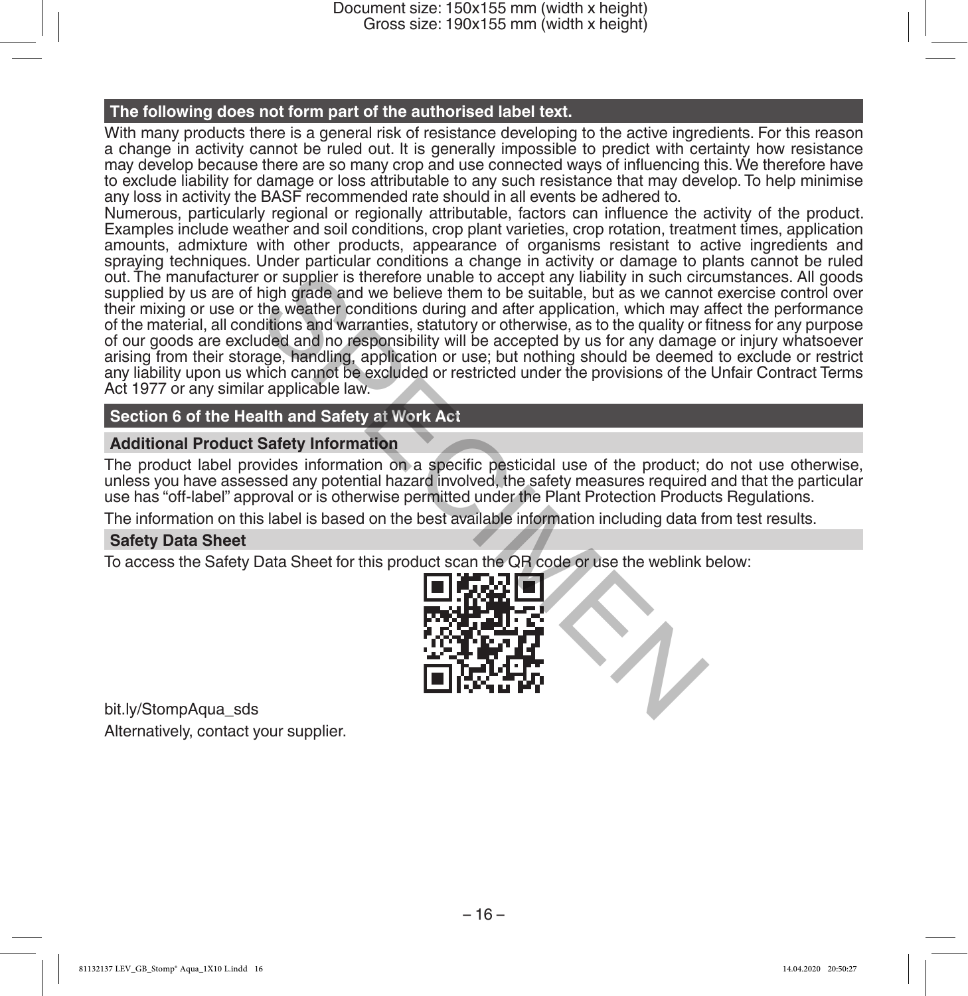Document size: 150x155 mm (width x height) Gross size: 190x155 mm (width x height)

#### **The following does not form part of the authorised label text.**

With many products there is a general risk of resistance developing to the active ingredients. For this reason a change in activity cannot be ruled out. It is generally impossible to predict with certainty how resistance may develop because there are so many crop and use connected ways of influencing this. We therefore have to exclude liability for damage or loss attributable to any such resistance that may develop. To help minimise any loss in activity the BASF recommended rate should in all events be adhered to.

Numerous, particularly regional or regionally attributable, factors can influence the activity of the product. Examples include weather and soil conditions, crop plant varieties, crop rotation, treatment times, application amounts, admixture with other products, appearance of organisms resistant to active ingredients and spraying techniques. Under particular conditions a change in activity or damage to plants cannot be ruled out. The manufacturer or supplier is therefore unable to accept any liability in such circumstances. All goods supplied by us are of high grade and we believe them to be suitable, but as we cannot exercise control over their mixing or use or the weather conditions during and after application, which may affect the performance of the material, all conditions and warranties, statutory or otherwise, as to the quality or fitness for any purpose of our goods are excluded and no responsibility will be accepted by us for any damage or injury whatsoever arising from their storage, handling, application or use; but nothing should be deemed to exclude or restrict any liability upon us which cannot be excluded or restricted under the provisions of the Unfair Contract Terms Act 1977 or any similar applicable law. For supplier is therefore unable to accept any liability in such circle that high grade and we believe them to be suitable, but as we cannot the weather conditions during and after application, which may aftitions and warr

# **Section 6 of the Health and Safety at Work Act**

### **Additional Product Safety Information**

The product label provides information on a specific pesticidal use of the product; do not use otherwise, unless you have assessed any potential hazard involved, the safety measures required and that the particular use has "off-label" approval or is otherwise permitted under the Plant Protection Products Regulations.

The information on this label is based on the best available information including data from test results.

### **Safety Data Sheet**

To access the Safety Data Sheet for this product scan the QR code or use the weblink below:



bit.ly/StompAqua\_sds Alternatively, contact your supplier.